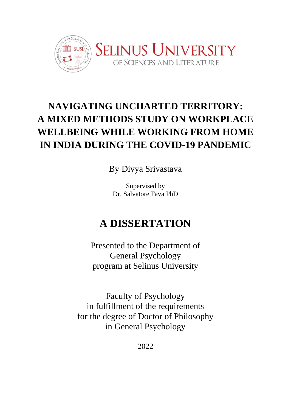

# **NAVIGATING UNCHARTED TERRITORY: A MIXED METHODS STUDY ON WORKPLACE WELLBEING WHILE WORKING FROM HOME IN INDIA DURING THE COVID-19 PANDEMIC**

By Divya Srivastava

Supervised by Dr. Salvatore Fava PhD

# **A DISSERTATION**

Presented to the Department of General Psychology program at Selinus University

Faculty of Psychology in fulfillment of the requirements for the degree of Doctor of Philosophy in General Psychology

2022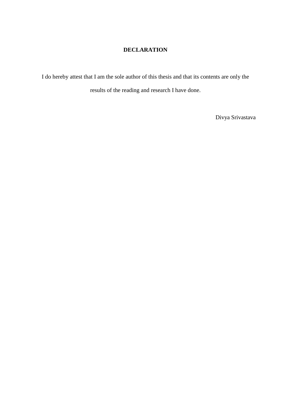# **DECLARATION**

I do hereby attest that I am the sole author of this thesis and that its contents are only the results of the reading and research I have done.

Divya Srivastava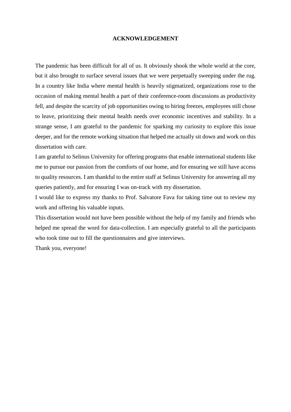#### **ACKNOWLEDGEMENT**

The pandemic has been difficult for all of us. It obviously shook the whole world at the core, but it also brought to surface several issues that we were perpetually sweeping under the rug. In a country like India where mental health is heavily stigmatized, organizations rose to the occasion of making mental health a part of their conference-room discussions as productivity fell, and despite the scarcity of job opportunities owing to hiring freezes, employees still chose to leave, prioritizing their mental health needs over economic incentives and stability. In a strange sense, I am grateful to the pandemic for sparking my curiosity to explore this issue deeper, and for the remote working situation that helped me actually sit down and work on this dissertation with care.

I am grateful to Selinus University for offering programs that enable international students like me to pursue our passion from the comforts of our home, and for ensuring we still have access to quality resources. I am thankful to the entire staff at Selinus University for answering all my queries patiently, and for ensuring I was on-track with my dissertation.

I would like to express my thanks to Prof. Salvatore Fava for taking time out to review my work and offering his valuable inputs.

This dissertation would not have been possible without the help of my family and friends who helped me spread the word for data-collection. I am especially grateful to all the participants who took time out to fill the questionnaires and give interviews.

Thank you, everyone!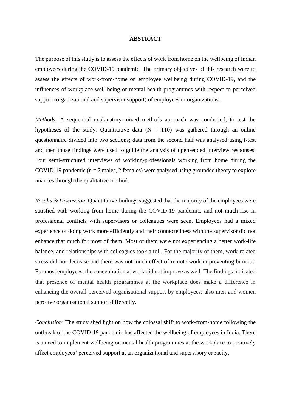#### **ABSTRACT**

The purpose of this study is to assess the effects of work from home on the wellbeing of Indian employees during the COVID-19 pandemic. The primary objectives of this research were to assess the effects of work-from-home on employee wellbeing during COVID-19, and the influences of workplace well-being or mental health programmes with respect to perceived support (organizational and supervisor support) of employees in organizations.

*Methods*: A sequential explanatory mixed methods approach was conducted, to test the hypotheses of the study. Quantitative data  $(N = 110)$  was gathered through an online questionnaire divided into two sections; data from the second half was analysed using t-test and then those findings were used to guide the analysis of open-ended interview responses. Four semi-structured interviews of working-professionals working from home during the COVID-19 pandemic ( $n = 2$  males, 2 females) were analysed using grounded theory to explore nuances through the qualitative method.

*Results & Discussion*: Quantitative findings suggested that the majority of the employees were satisfied with working from home during the COVID-19 pandemic, and not much rise in professional conflicts with supervisors or colleagues were seen. Employees had a mixed experience of doing work more efficiently and their connectedness with the supervisor did not enhance that much for most of them. Most of them were not experiencing a better work-life balance, and relationships with colleagues took a toll. For the majority of them, work-related stress did not decrease and there was not much effect of remote work in preventing burnout. For most employees, the concentration at work did not improve as well. The findings indicated that presence of mental health programmes at the workplace does make a difference in enhancing the overall perceived organisational support by employees; also men and women perceive organisational support differently.

*Conclusion*: The study shed light on how the colossal shift to work-from-home following the outbreak of the COVID-19 pandemic has affected the wellbeing of employees in India. There is a need to implement wellbeing or mental health programmes at the workplace to positively affect employees' perceived support at an organizational and supervisory capacity.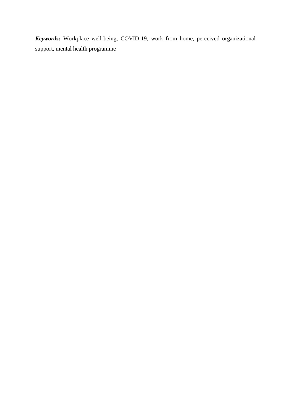*Keywords***:** Workplace well-being, COVID-19, work from home, perceived organizational support, mental health programme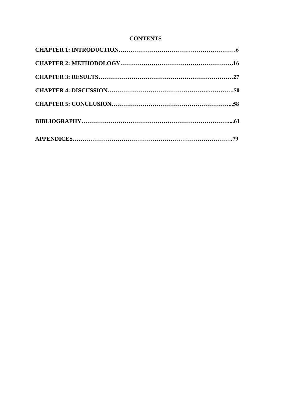# **CONTENTS**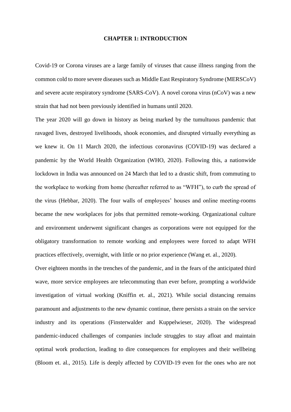#### **CHAPTER 1: INTRODUCTION**

Covid-19 or Corona viruses are a large family of viruses that cause illness ranging from the common cold to more severe diseases such as Middle East Respiratory Syndrome (MERSCoV) and severe acute respiratory syndrome (SARS-CoV). A novel corona virus (nCoV) was a new strain that had not been previously identified in humans until 2020.

The year 2020 will go down in history as being marked by the tumultuous pandemic that ravaged lives, destroyed livelihoods, shook economies, and disrupted virtually everything as we knew it. On 11 March 2020, the infectious coronavirus (COVID-19) was declared a pandemic by the World Health Organization (WHO, 2020). Following this, a nationwide lockdown in India was announced on 24 March that led to a drastic shift, from commuting to the workplace to working from home (hereafter referred to as "WFH"), to curb the spread of the virus (Hebbar, 2020). The four walls of employees' houses and online meeting-rooms became the new workplaces for jobs that permitted remote-working. Organizational culture and environment underwent significant changes as corporations were not equipped for the obligatory transformation to remote working and employees were forced to adapt WFH practices effectively, overnight, with little or no prior experience (Wang et. al., 2020).

Over eighteen months in the trenches of the pandemic, and in the fears of the anticipated third wave, more service employees are telecommuting than ever before, prompting a worldwide investigation of virtual working (Kniffin et. al., 2021). While social distancing remains paramount and adjustments to the new dynamic continue, there persists a strain on the service industry and its operations (Finsterwalder and Kuppelwieser, 2020). The widespread pandemic-induced challenges of companies include struggles to stay afloat and maintain optimal work production, leading to dire consequences for employees and their wellbeing (Bloom et. al., 2015). Life is deeply affected by COVID-19 even for the ones who are not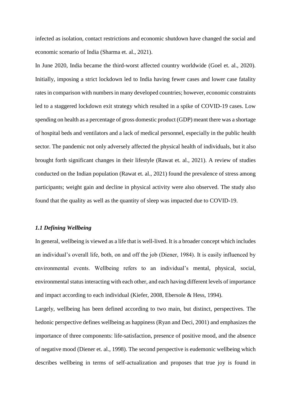infected as isolation, contact restrictions and economic shutdown have changed the social and economic scenario of India (Sharma et. al., 2021).

In June 2020, India became the third-worst affected country worldwide (Goel et. al., 2020). Initially, imposing a strict lockdown led to India having fewer cases and lower case fatality rates in comparison with numbers in many developed countries; however, economic constraints led to a staggered lockdown exit strategy which resulted in a spike of COVID-19 cases. Low spending on health as a percentage of gross domestic product (GDP) meant there was a shortage of hospital beds and ventilators and a lack of medical personnel, especially in the public health sector. The pandemic not only adversely affected the physical health of individuals, but it also brought forth significant changes in their lifestyle (Rawat et. al., 2021). A review of studies conducted on the Indian population (Rawat et. al., 2021) found the prevalence of stress among participants; weight gain and decline in physical activity were also observed. The study also found that the quality as well as the quantity of sleep was impacted due to COVID-19.

# *1.1 Defining Wellbeing*

In general, wellbeing is viewed as a life that is well-lived. It is a broader concept which includes an individual's overall life, both, on and off the job (Diener, 1984). It is easily influenced by environmental events. Wellbeing refers to an individual's mental, physical, social, environmental status interacting with each other, and each having different levels of importance and impact according to each individual (Kiefer, 2008, Ebersole & Hess, 1994).

Largely, wellbeing has been defined according to two main, but distinct, perspectives. The hedonic perspective defines wellbeing as happiness (Ryan and Deci, 2001) and emphasizes the importance of three components: life-satisfaction, presence of positive mood, and the absence of negative mood (Diener et. al., 1998). The second perspective is eudemonic wellbeing which describes wellbeing in terms of self-actualization and proposes that true joy is found in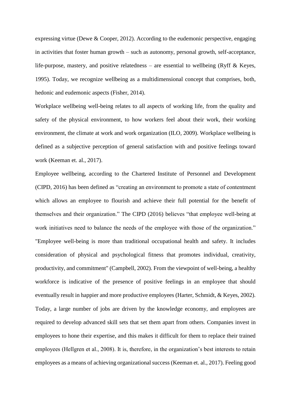expressing virtue (Dewe & Cooper, 2012). According to the eudemonic perspective, engaging in activities that foster human growth – such as autonomy, personal growth, self-acceptance, life-purpose, mastery, and positive relatedness – are essential to wellbeing (Ryff & Keyes, 1995). Today, we recognize wellbeing as a multidimensional concept that comprises, both, hedonic and eudemonic aspects (Fisher, 2014).

Workplace wellbeing well-being relates to all aspects of working life, from the quality and safety of the physical environment, to how workers feel about their work, their working environment, the climate at work and work organization (ILO, 2009). Workplace wellbeing is defined as a subjective perception of general satisfaction with and positive feelings toward work (Keeman et. al., 2017).

Employee wellbeing, according to the Chartered Institute of Personnel and Development (CIPD, 2016) has been defined as "creating an environment to promote a state of contentment which allows an employee to flourish and achieve their full potential for the benefit of themselves and their organization." The CIPD (2016) believes "that employee well-being at work initiatives need to balance the needs of the employee with those of the organization." "Employee well-being is more than traditional occupational health and safety. It includes consideration of physical and psychological fitness that promotes individual, creativity, productivity, and commitment" (Campbell, 2002). From the viewpoint of well-being, a healthy workforce is indicative of the presence of positive feelings in an employee that should eventually result in happier and more productive employees (Harter, Schmidt, & Keyes, 2002). Today, a large number of jobs are driven by the knowledge economy, and employees are required to develop advanced skill sets that set them apart from others. Companies invest in employees to hone their expertise, and this makes it difficult for them to replace their trained employees (Hellgren et al., 2008). It is, therefore, in the organization's best interests to retain employees as a means of achieving organizational success (Keeman et. al., 2017). Feeling good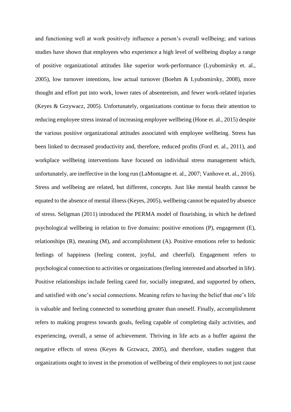and functioning well at work positively influence a person's overall wellbeing; and various studies have shown that employees who experience a high level of wellbeing display a range of positive organizational attitudes like superior work-performance (Lyubomirsky et. al., 2005), low turnover intentions, low actual turnover (Boehm & Lyubomirsky, 2008), more thought and effort put into work, lower rates of absenteeism, and fewer work-related injuries (Keyes & Grzywacz, 2005). Unfortunately, organizations continue to focus their attention to reducing employee stress instead of increasing employee wellbeing (Hone et. al., 2015) despite the various positive organizational attitudes associated with employee wellbeing. Stress has been linked to decreased productivity and, therefore, reduced profits (Ford et. al., 2011), and workplace wellbeing interventions have focused on individual stress management which, unfortunately, are ineffective in the long run (LaMontagne et. al., 2007; Vanhove et. al., 2016). Stress and wellbeing are related, but different, concepts. Just like mental health cannot be equated to the absence of mental illness (Keyes, 2005), wellbeing cannot be equated by absence of stress. Seligman (2011) introduced the PERMA model of flourishing, in which he defined psychological wellbeing in relation to five domains: positive emotions (P), engagement (E), relationships (R), meaning (M), and accomplishment (A). Positive emotions refer to hedonic feelings of happiness (feeling content, joyful, and cheerful). Engagement refers to psychological connection to activities or organizations (feeling interested and absorbed in life). Positive relationships include feeling cared for, socially integrated, and supported by others, and satisfied with one's social connections. Meaning refers to having the belief that one's life is valuable and feeling connected to something greater than oneself. Finally, accomplishment refers to making progress towards goals, feeling capable of completing daily activities, and experiencing, overall, a sense of achievement. Thriving in life acts as a buffer against the negative effects of stress (Keyes & Grzwacz, 2005), and therefore, studies suggest that organizations ought to invest in the promotion of wellbeing of their employees to not just cause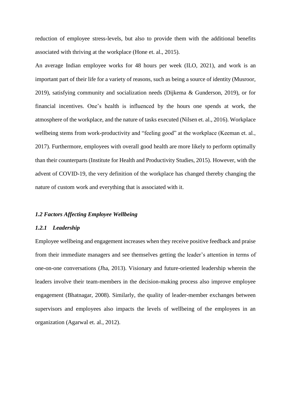reduction of employee stress-levels, but also to provide them with the additional benefits associated with thriving at the workplace (Hone et. al., 2015).

An average Indian employee works for 48 hours per week (ILO, 2021), and work is an important part of their life for a variety of reasons, such as being a source of identity (Musroor, 2019), satisfying community and socialization needs (Dijkema & Gunderson, 2019), or for financial incentives. One's health is influenced by the hours one spends at work, the atmosphere of the workplace, and the nature of tasks executed (Nilsen et. al., 2016). Workplace wellbeing stems from work-productivity and "feeling good" at the workplace (Keeman et. al., 2017). Furthermore, employees with overall good health are more likely to perform optimally than their counterparts (Institute for Health and Productivity Studies, 2015). However, with the advent of COVID-19, the very definition of the workplace has changed thereby changing the nature of custom work and everything that is associated with it.

## *1.2 Factors Affecting Employee Wellbeing*

#### *1.2.1 Leadership*

Employee wellbeing and engagement increases when they receive positive feedback and praise from their immediate managers and see themselves getting the leader's attention in terms of one-on-one conversations (Jha, 2013). Visionary and future-oriented leadership wherein the leaders involve their team-members in the decision-making process also improve employee engagement (Bhatnagar, 2008). Similarly, the quality of leader-member exchanges between supervisors and employees also impacts the levels of wellbeing of the employees in an organization (Agarwal et. al., 2012).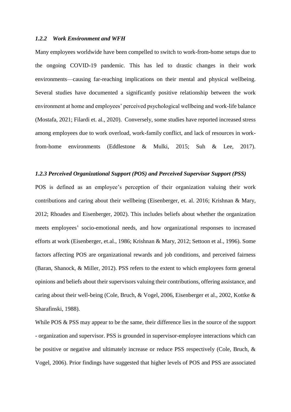#### *1.2.2 Work Environment and WFH*

Many employees worldwide have been compelled to switch to work-from-home setups due to the ongoing COVID-19 pandemic. This has led to drastic changes in their work environments—causing far-reaching implications on their mental and physical wellbeing. Several studies have documented a significantly positive relationship between the work environment at home and employees' perceived psychological wellbeing and work-life balance (Mostafa, 2021; Filardi et. al., 2020). Conversely, some studies have reported increased stress among employees due to work overload, work-family conflict, and lack of resources in workfrom-home environments (Eddlestone & Mulki, 2015; Suh & Lee, 2017).

# *1.2.3 Perceived Organizational Support (POS) and Perceived Supervisor Support (PSS)*

POS is defined as an employee's perception of their organization valuing their work contributions and caring about their wellbeing (Eisenberger, et. al. 2016; Krishnan & Mary, 2012; Rhoades and Eisenberger, 2002). This includes beliefs about whether the organization meets employees' socio-emotional needs, and how organizational responses to increased efforts at work (Eisenberger, et.al., 1986; Krishnan & Mary, 2012; Settoon et al., 1996). Some factors affecting POS are organizational rewards and job conditions, and perceived fairness (Baran, Shanock, & Miller, 2012). PSS refers to the extent to which employees form general opinions and beliefs about their supervisors valuing their contributions, offering assistance, and caring about their well-being (Cole, Bruch, & Vogel, 2006, Eisenberger et al., 2002, Kottke & Sharafinski, 1988).

While POS & PSS may appear to be the same, their difference lies in the source of the support - organization and supervisor. PSS is grounded in supervisor-employee interactions which can be positive or negative and ultimately increase or reduce PSS respectively (Cole, Bruch, & Vogel, 2006). Prior findings have suggested that higher levels of POS and PSS are associated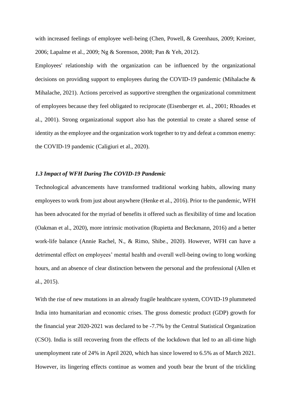with increased feelings of employee well-being (Chen, Powell, & Greenhaus, 2009; Kreiner, 2006; Lapalme et al., 2009; Ng & Sorenson, 2008; Pan & Yeh, 2012).

Employees' relationship with the organization can be influenced by the organizational decisions on providing support to employees during the COVID-19 pandemic (Mihalache & Mihalache, 2021). Actions perceived as supportive strengthen the organizational commitment of employees because they feel obligated to reciprocate (Eisenberger et. al., 2001; Rhoades et al., 2001). Strong organizational support also has the potential to create a shared sense of identity as the employee and the organization work together to try and defeat a common enemy: the COVID-19 pandemic (Caligiuri et al., 2020).

# *1.3 Impact of WFH During The COVID-19 Pandemic*

Technological advancements have transformed traditional working habits, allowing many employees to work from just about anywhere (Henke et al., 2016). Prior to the pandemic, WFH has been advocated for the myriad of benefits it offered such as flexibility of time and location (Oakman et al., 2020), more intrinsic motivation (Rupietta and Beckmann, 2016) and a better work-life balance (Annie Rachel, N., & Rimo, Shibe., 2020). However, WFH can have a detrimental effect on employees' mental health and overall well-being owing to long working hours, and an absence of clear distinction between the personal and the professional (Allen et al., 2015).

With the rise of new mutations in an already fragile healthcare system, COVID-19 plummeted India into humanitarian and economic crises. The gross domestic product (GDP) growth for the financial year 2020-2021 was declared to be -7.7% by the Central Statistical Organization (CSO). India is still recovering from the effects of the lockdown that led to an all-time high unemployment rate of 24% in April 2020, which has since lowered to 6.5% as of March 2021. However, its lingering effects continue as women and youth bear the brunt of the trickling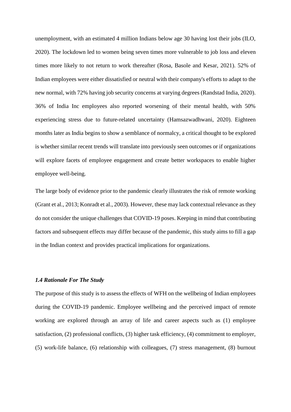unemployment, with an estimated 4 million Indians below age 30 having lost their jobs (ILO, 2020). The lockdown led to women being seven times more vulnerable to job loss and eleven times more likely to not return to work thereafter (Rosa, Basole and Kesar, 2021). 52% of Indian employees were either dissatisfied or neutral with their company's efforts to adapt to the new normal, with 72% having job security concerns at varying degrees (Randstad India, 2020). 36% of India Inc employees also reported worsening of their mental health, with 50% experiencing stress due to future-related uncertainty (Hamsazwadhwani, 2020). Eighteen months later as India begins to show a semblance of normalcy, a critical thought to be explored is whether similar recent trends will translate into previously seen outcomes or if organizations will explore facets of employee engagement and create better workspaces to enable higher employee well-being.

The large body of evidence prior to the pandemic clearly illustrates the risk of remote working (Grant et al., 2013; Konradt et al., 2003). However, these may lack contextual relevance as they do not consider the unique challenges that COVID-19 poses. Keeping in mind that contributing factors and subsequent effects may differ because of the pandemic, this study aims to fill a gap in the Indian context and provides practical implications for organizations.

# *1.4 Rationale For The Study*

The purpose of this study is to assess the effects of WFH on the wellbeing of Indian employees during the COVID-19 pandemic. Employee wellbeing and the perceived impact of remote working are explored through an array of life and career aspects such as (1) employee satisfaction, (2) professional conflicts, (3) higher task efficiency, (4) commitment to employer, (5) work-life balance, (6) relationship with colleagues, (7) stress management, (8) burnout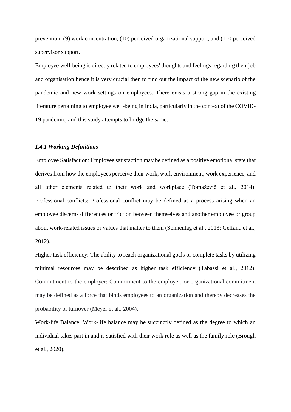prevention, (9) work concentration, (10) perceived organizational support, and (110 perceived supervisor support.

Employee well-being is directly related to employees' thoughts and feelings regarding their job and organisation hence it is very crucial then to find out the impact of the new scenario of the pandemic and new work settings on employees. There exists a strong gap in the existing literature pertaining to employee well-being in India, particularly in the context of the COVID-19 pandemic, and this study attempts to bridge the same.

## *1.4.1 Working Definitions*

Employee Satisfaction: Employee satisfaction may be defined as a positive emotional state that derives from how the employees perceive their work, work environment, work experience, and all other elements related to their work and workplace (Tomaževič et al., 2014). Professional conflicts: Professional conflict may be defined as a process arising when an employee discerns differences or friction between themselves and another employee or group about work-related issues or values that matter to them (Sonnentag et al., 2013; Gelfand et al., 2012).

Higher task efficiency: The ability to reach organizational goals or complete tasks by utilizing minimal resources may be described as higher task efficiency (Tabassi et al., 2012). Commitment to the employer: Commitment to the employer, or organizational commitment may be defined as a force that binds employees to an organization and thereby decreases the probability of turnover (Meyer et al., 2004).

Work-life Balance: Work-life balance may be succinctly defined as the degree to which an individual takes part in and is satisfied with their work role as well as the family role (Brough et al., 2020).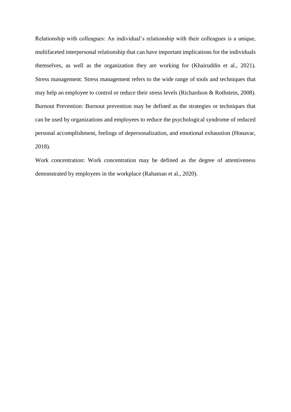Relationship with colleagues: An individual's relationship with their colleagues is a unique, multifaceted interpersonal relationship that can have important implications for the individuals themselves, as well as the organization they are working for (Khairuddin et al., 2021). Stress management: Stress management refers to the wide range of tools and techniques that may help an employee to control or reduce their stress levels (Richardson & Rothstein, 2008). Burnout Prevention: Burnout prevention may be defined as the strategies or techniques that can be used by organizations and employees to reduce the psychological syndrome of reduced personal accomplishment, feelings of depersonalization, and emotional exhaustion (Honavar, 2018).

Work concentration: Work concentration may be defined as the degree of attentiveness demonstrated by employees in the workplace (Rahaman et al., 2020).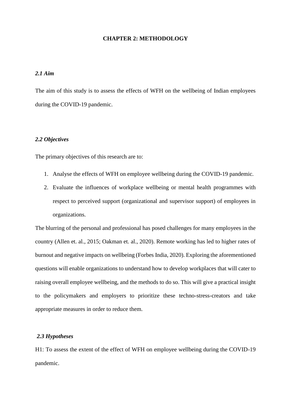# **CHAPTER 2: METHODOLOGY**

# *2.1 Aim*

The aim of this study is to assess the effects of WFH on the wellbeing of Indian employees during the COVID-19 pandemic.

# *2.2 Objectives*

The primary objectives of this research are to:

- 1. Analyse the effects of WFH on employee wellbeing during the COVID-19 pandemic.
- 2. Evaluate the influences of workplace wellbeing or mental health programmes with respect to perceived support (organizational and supervisor support) of employees in organizations.

The blurring of the personal and professional has posed challenges for many employees in the country (Allen et. al., 2015; Oakman et. al., 2020). Remote working has led to higher rates of burnout and negative impacts on wellbeing (Forbes India, 2020). Exploring the aforementioned questions will enable organizations to understand how to develop workplaces that will cater to raising overall employee wellbeing, and the methods to do so. This will give a practical insight to the policymakers and employers to prioritize these techno-stress-creators and take appropriate measures in order to reduce them.

# *2.3 Hypotheses*

H1: To assess the extent of the effect of WFH on employee wellbeing during the COVID-19 pandemic.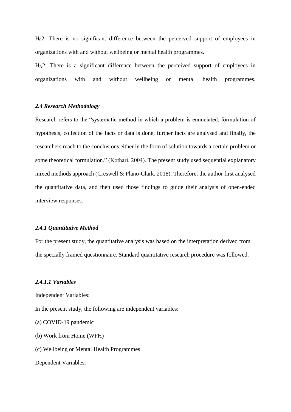H02: There is no significant difference between the perceived support of employees in organizations with and without wellbeing or mental health programmes.

HA2: There is a significant difference between the perceived support of employees in organizations with and without wellbeing or mental health programmes.

# *2.4 Research Methodology*

Research refers to the "systematic method in which a problem is enunciated, formulation of hypothesis, collection of the facts or data is done, further facts are analysed and finally, the researchers reach to the conclusions either in the form of solution towards a certain problem or some theoretical formulation," (Kothari, 2004). The present study used sequential explanatory mixed methods approach (Creswell & Plano-Clark, 2018). Therefore, the author first analysed the quantitative data, and then used those findings to guide their analysis of open-ended interview responses.

#### *2.4.1 Quantitative Method*

For the present study, the quantitative analysis was based on the interpretation derived from the specially framed questionnaire. Standard quantitative research procedure was followed.

# *2.4.1.1 Variables*

#### Independent Variables:

In the present study, the following are independent variables:

- (a) COVID-19 pandemic
- (b) Work from Home (WFH)
- (c) Wellbeing or Mental Health Programmes

Dependent Variables: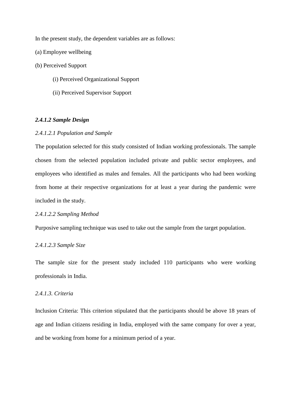In the present study, the dependent variables are as follows:

- (a) Employee wellbeing
- (b) Perceived Support
	- (i) Perceived Organizational Support
	- (ii) Perceived Supervisor Support

# *2.4.1.2 Sample Design*

# *2.4.1.2.1 Population and Sample*

The population selected for this study consisted of Indian working professionals. The sample chosen from the selected population included private and public sector employees, and employees who identified as males and females. All the participants who had been working from home at their respective organizations for at least a year during the pandemic were included in the study.

## *2.4.1.2.2 Sampling Method*

Purposive sampling technique was used to take out the sample from the target population.

# *2.4.1.2.3 Sample Size*

The sample size for the present study included 110 participants who were working professionals in India.

# *2.4.1.3. Criteria*

Inclusion Criteria: This criterion stipulated that the participants should be above 18 years of age and Indian citizens residing in India, employed with the same company for over a year, and be working from home for a minimum period of a year.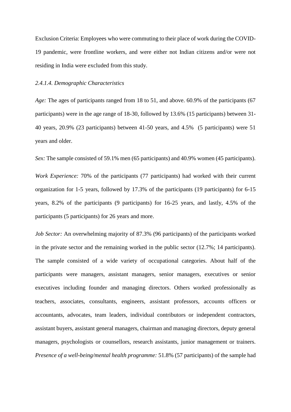Exclusion Criteria: Employees who were commuting to their place of work during the COVID-19 pandemic, were frontline workers, and were either not Indian citizens and/or were not residing in India were excluded from this study.

# *2.4.1.4. Demographic Characteristics*

*Age:* The ages of participants ranged from 18 to 51, and above. 60.9% of the participants (67 participants) were in the age range of 18-30, followed by 13.6% (15 participants) between 31- 40 years, 20.9% (23 participants) between 41-50 years, and 4.5% (5 participants) were 51 years and older.

*Sex:* The sample consisted of 59.1% men (65 participants) and 40.9% women (45 participants).

*Work Experience:* 70% of the participants (77 participants) had worked with their current organization for 1-5 years, followed by 17.3% of the participants (19 participants) for 6-15 years, 8.2% of the participants (9 participants) for 16-25 years, and lastly, 4.5% of the participants (5 participants) for 26 years and more.

*Job Sector:* An overwhelming majority of 87.3% (96 participants) of the participants worked in the private sector and the remaining worked in the public sector (12.7%; 14 participants). The sample consisted of a wide variety of occupational categories. About half of the participants were managers, assistant managers, senior managers, executives or senior executives including founder and managing directors. Others worked professionally as teachers, associates, consultants, engineers, assistant professors, accounts officers or accountants, advocates, team leaders, individual contributors or independent contractors, assistant buyers, assistant general managers, chairman and managing directors, deputy general managers, psychologists or counsellors, research assistants, junior management or trainers. *Presence of a well-being/mental health programme:* 51.8% (57 participants) of the sample had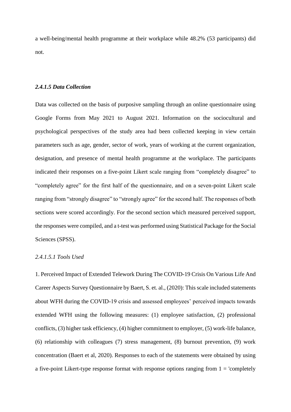a well-being/mental health programme at their workplace while 48.2% (53 participants) did not.

# *2.4.1.5 Data Collection*

Data was collected on the basis of purposive sampling through an online questionnaire using Google Forms from May 2021 to August 2021. Information on the sociocultural and psychological perspectives of the study area had been collected keeping in view certain parameters such as age, gender, sector of work, years of working at the current organization, designation, and presence of mental health programme at the workplace. The participants indicated their responses on a five-point Likert scale ranging from "completely disagree" to "completely agree" for the first half of the questionnaire, and on a seven-point Likert scale ranging from "strongly disagree" to "strongly agree" for the second half. The responses of both sections were scored accordingly. For the second section which measured perceived support, the responses were compiled, and a t-test was performed using Statistical Package for the Social Sciences (SPSS).

#### *2.4.1.5.1 Tools Used*

1. Perceived Impact of Extended Telework During The COVID-19 Crisis On Various Life And Career Aspects Survey Questionnaire by Baert, S. et. al., (2020): This scale included statements about WFH during the COVID-19 crisis and assessed employees' perceived impacts towards extended WFH using the following measures: (1) employee satisfaction, (2) professional conflicts, (3) higher task efficiency, (4) higher commitment to employer, (5) work-life balance, (6) relationship with colleagues (7) stress management, (8) burnout prevention, (9) work concentration (Baert et al, 2020). Responses to each of the statements were obtained by using a five-point Likert-type response format with response options ranging from  $1 =$  'completely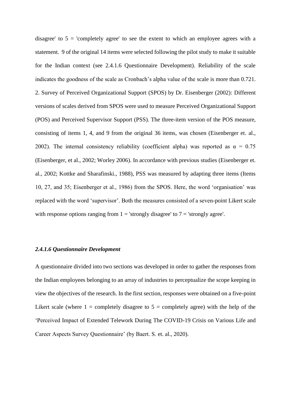disagree' to  $5 =$  'completely agree' to see the extent to which an employee agrees with a statement. 9 of the original 14 items were selected following the pilot study to make it suitable for the Indian context (see 2.4.1.6 Questionnaire Development). Reliability of the scale indicates the goodness of the scale as Cronbach's alpha value of the scale is more than 0.721. 2. Survey of Perceived Organizational Support (SPOS) by Dr. Eisenberger (2002): Different versions of scales derived from SPOS were used to measure Perceived Organizational Support (POS) and Perceived Supervisor Support (PSS). The three-item version of the POS measure, consisting of items 1, 4, and 9 from the original 36 items, was chosen (Eisenberger et. al., 2002). The internal consistency reliability (coefficient alpha) was reported as  $\alpha = 0.75$ (Eisenberger, et al., 2002; Worley 2006). In accordance with previous studies (Eisenberger et. al., 2002; Kottke and Sharafinski., 1988), PSS was measured by adapting three items (Items 10, 27, and 35; Eisenberger et al., 1986) from the SPOS. Here, the word 'organisation' was replaced with the word 'supervisor'. Both the measures consisted of a seven-point Likert scale with response options ranging from  $1 =$  'strongly disagree' to  $7 =$  'strongly agree'.

# *2.4.1.6 Questionnaire Development*

A questionnaire divided into two sections was developed in order to gather the responses from the Indian employees belonging to an array of industries to perceptualize the scope keeping in view the objectives of the research. In the first section, responses were obtained on a five-point Likert scale (where  $1 =$  completely disagree to  $5 =$  completely agree) with the help of the 'Perceived Impact of Extended Telework During The COVID-19 Crisis on Various Life and Career Aspects Survey Questionnaire' (by Baert. S. et. al., 2020).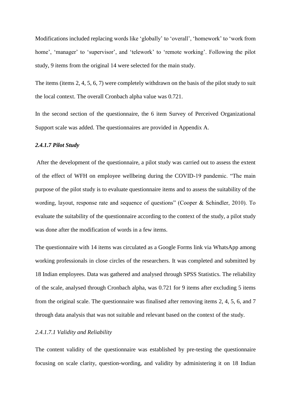Modifications included replacing words like 'globally' to 'overall', 'homework' to 'work from home', 'manager' to 'supervisor', and 'telework' to 'remote working'. Following the pilot study, 9 items from the original 14 were selected for the main study.

The items (items 2, 4, 5, 6, 7) were completely withdrawn on the basis of the pilot study to suit the local context. The overall Cronbach alpha value was 0.721.

In the second section of the questionnaire, the 6 item Survey of Perceived Organizational Support scale was added. The questionnaires are provided in Appendix A.

#### *2.4.1.7 Pilot Study*

After the development of the questionnaire, a pilot study was carried out to assess the extent of the effect of WFH on employee wellbeing during the COVID-19 pandemic. "The main purpose of the pilot study is to evaluate questionnaire items and to assess the suitability of the wording, layout, response rate and sequence of questions" (Cooper & Schindler, 2010). To evaluate the suitability of the questionnaire according to the context of the study, a pilot study was done after the modification of words in a few items.

The questionnaire with 14 items was circulated as a Google Forms link via WhatsApp among working professionals in close circles of the researchers. It was completed and submitted by 18 Indian employees. Data was gathered and analysed through SPSS Statistics. The reliability of the scale, analysed through Cronbach alpha, was 0.721 for 9 items after excluding 5 items from the original scale. The questionnaire was finalised after removing items 2, 4, 5, 6, and 7 through data analysis that was not suitable and relevant based on the context of the study.

# *2.4.1.7.1 Validity and Reliability*

The content validity of the questionnaire was established by pre-testing the questionnaire focusing on scale clarity, question-wording, and validity by administering it on 18 Indian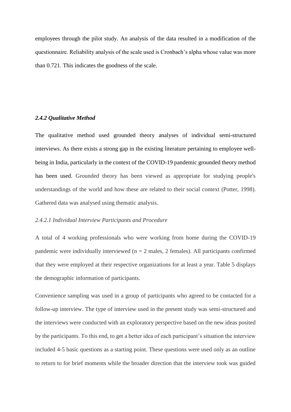employees through the pilot study. An analysis of the data resulted in a modification of the questionnaire. Reliability analysis of the scale used is Cronbach's alpha whose value was more than 0.721. This indicates the goodness of the scale.

# *2.4.2 Qualitative Method*

The qualitative method used grounded theory analyses of individual semi-structured interviews. As there exists a strong gap in the existing literature pertaining to employee wellbeing in India, particularly in the context of the COVID-19 pandemic grounded theory method has been used. Grounded theory has been viewed as appropriate for studying people's understandings of the world and how these are related to their social context (Potter, 1998). Gathered data was analysed using thematic analysis.

# *2.4.2.1 Individual Interview Participants and Procedure*

A total of 4 working professionals who were working from home during the COVID-19 pandemic were individually interviewed ( $n = 2$  males, 2 females). All participants confirmed that they were employed at their respective organizations for at least a year. Table 5 displays the demographic information of participants.

Convenience sampling was used in a group of participants who agreed to be contacted for a follow-up interview. The type of interview used in the present study was semi-structured and the interviews were conducted with an exploratory perspective based on the new ideas posited by the participants. To this end, to get a better idea of each participant's situation the interview included 4-5 basic questions as a starting point. These questions were used only as an outline to return to for brief moments while the broader direction that the interview took was guided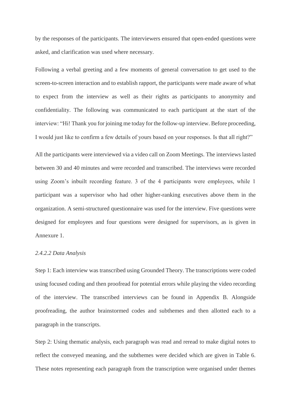by the responses of the participants. The interviewers ensured that open-ended questions were asked, and clarification was used where necessary.

Following a verbal greeting and a few moments of general conversation to get used to the screen-to-screen interaction and to establish rapport, the participants were made aware of what to expect from the interview as well as their rights as participants to anonymity and confidentiality. The following was communicated to each participant at the start of the interview: "Hi! Thank you for joining me today for the follow-up interview. Before proceeding, I would just like to confirm a few details of yours based on your responses. Is that all right?"

All the participants were interviewed via a video call on Zoom Meetings. The interviews lasted between 30 and 40 minutes and were recorded and transcribed. The interviews were recorded using Zoom's inbuilt recording feature. 3 of the 4 participants were employees, while 1 participant was a supervisor who had other higher-ranking executives above them in the organization. A semi-structured questionnaire was used for the interview. Five questions were designed for employees and four questions were designed for supervisors, as is given in Annexure 1.

#### *2.4.2.2 Data Analysis*

Step 1: Each interview was transcribed using Grounded Theory. The transcriptions were coded using focused coding and then proofread for potential errors while playing the video recording of the interview. The transcribed interviews can be found in Appendix B. Alongside proofreading, the author brainstormed codes and subthemes and then allotted each to a paragraph in the transcripts.

Step 2: Using thematic analysis, each paragraph was read and reread to make digital notes to reflect the conveyed meaning, and the subthemes were decided which are given in Table 6. These notes representing each paragraph from the transcription were organised under themes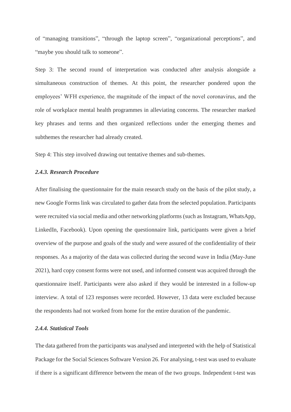of "managing transitions", "through the laptop screen", "organizational perceptions", and "maybe you should talk to someone".

Step 3: The second round of interpretation was conducted after analysis alongside a simultaneous construction of themes. At this point, the researcher pondered upon the employees' WFH experience, the magnitude of the impact of the novel coronavirus, and the role of workplace mental health programmes in alleviating concerns. The researcher marked key phrases and terms and then organized reflections under the emerging themes and subthemes the researcher had already created.

Step 4: This step involved drawing out tentative themes and sub-themes.

### *2.4.3. Research Procedure*

After finalising the questionnaire for the main research study on the basis of the pilot study, a new Google Forms link was circulated to gather data from the selected population. Participants were recruited via social media and other networking platforms (such as Instagram, WhatsApp, LinkedIn, Facebook). Upon opening the questionnaire link, participants were given a brief overview of the purpose and goals of the study and were assured of the confidentiality of their responses. As a majority of the data was collected during the second wave in India (May-June 2021), hard copy consent forms were not used, and informed consent was acquired through the questionnaire itself. Participants were also asked if they would be interested in a follow-up interview. A total of 123 responses were recorded. However, 13 data were excluded because the respondents had not worked from home for the entire duration of the pandemic.

# *2.4.4. Statistical Tools*

The data gathered from the participants was analysed and interpreted with the help of Statistical Package for the Social Sciences Software Version 26. For analysing, t-test was used to evaluate if there is a significant difference between the mean of the two groups. Independent t-test was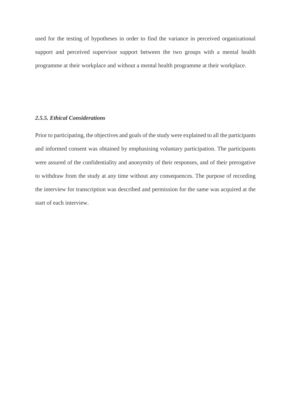used for the testing of hypotheses in order to find the variance in perceived organizational support and perceived supervisor support between the two groups with a mental health programme at their workplace and without a mental health programme at their workplace.

# *2.5.5. Ethical Considerations*

Prior to participating, the objectives and goals of the study were explained to all the participants and informed consent was obtained by emphasising voluntary participation. The participants were assured of the confidentiality and anonymity of their responses, and of their prerogative to withdraw from the study at any time without any consequences. The purpose of recording the interview for transcription was described and permission for the same was acquired at the start of each interview.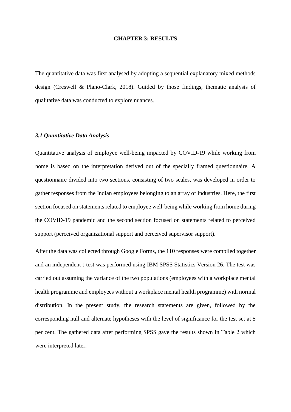#### **CHAPTER 3: RESULTS**

The quantitative data was first analysed by adopting a sequential explanatory mixed methods design (Creswell & Plano-Clark, 2018). Guided by those findings, thematic analysis of qualitative data was conducted to explore nuances.

# *3.1 Quantitative Data Analysis*

Quantitative analysis of employee well-being impacted by COVID-19 while working from home is based on the interpretation derived out of the specially framed questionnaire. A questionnaire divided into two sections, consisting of two scales, was developed in order to gather responses from the Indian employees belonging to an array of industries. Here, the first section focused on statements related to employee well-being while working from home during the COVID-19 pandemic and the second section focused on statements related to perceived support (perceived organizational support and perceived supervisor support).

After the data was collected through Google Forms, the 110 responses were compiled together and an independent t-test was performed using IBM SPSS Statistics Version 26. The test was carried out assuming the variance of the two populations (employees with a workplace mental health programme and employees without a workplace mental health programme) with normal distribution. In the present study, the research statements are given, followed by the corresponding null and alternate hypotheses with the level of significance for the test set at 5 per cent. The gathered data after performing SPSS gave the results shown in Table 2 which were interpreted later.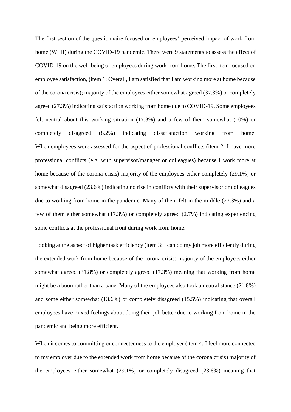The first section of the questionnaire focused on employees' perceived impact of work from home (WFH) during the COVID-19 pandemic. There were 9 statements to assess the effect of COVID-19 on the well-being of employees during work from home. The first item focused on employee satisfaction, (item 1: Overall, I am satisfied that I am working more at home because of the corona crisis); majority of the employees either somewhat agreed (37.3%) or completely agreed (27.3%) indicating satisfaction working from home due to COVID-19. Some employees felt neutral about this working situation (17.3%) and a few of them somewhat (10%) or completely disagreed (8.2%) indicating dissatisfaction working from home. When employees were assessed for the aspect of professional conflicts (item 2: I have more professional conflicts (e.g. with supervisor/manager or colleagues) because I work more at home because of the corona crisis) majority of the employees either completely (29.1%) or somewhat disagreed (23.6%) indicating no rise in conflicts with their supervisor or colleagues due to working from home in the pandemic. Many of them felt in the middle (27.3%) and a few of them either somewhat (17.3%) or completely agreed (2.7%) indicating experiencing some conflicts at the professional front during work from home.

Looking at the aspect of higher task efficiency (item 3: I can do my job more efficiently during the extended work from home because of the corona crisis) majority of the employees either somewhat agreed (31.8%) or completely agreed (17.3%) meaning that working from home might be a boon rather than a bane. Many of the employees also took a neutral stance (21.8%) and some either somewhat (13.6%) or completely disagreed (15.5%) indicating that overall employees have mixed feelings about doing their job better due to working from home in the pandemic and being more efficient.

When it comes to committing or connectedness to the employer (item 4: I feel more connected to my employer due to the extended work from home because of the corona crisis) majority of the employees either somewhat (29.1%) or completely disagreed (23.6%) meaning that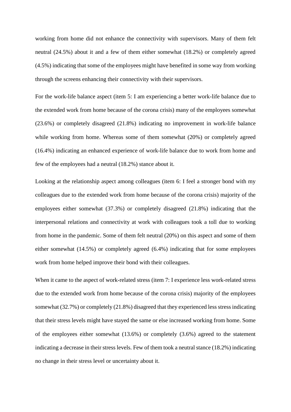working from home did not enhance the connectivity with supervisors. Many of them felt neutral (24.5%) about it and a few of them either somewhat (18.2%) or completely agreed (4.5%) indicating that some of the employees might have benefited in some way from working through the screens enhancing their connectivity with their supervisors.

For the work-life balance aspect (item 5: I am experiencing a better work-life balance due to the extended work from home because of the corona crisis) many of the employees somewhat (23.6%) or completely disagreed (21.8%) indicating no improvement in work-life balance while working from home. Whereas some of them somewhat (20%) or completely agreed (16.4%) indicating an enhanced experience of work-life balance due to work from home and few of the employees had a neutral (18.2%) stance about it.

Looking at the relationship aspect among colleagues (item 6: I feel a stronger bond with my colleagues due to the extended work from home because of the corona crisis) majority of the employees either somewhat (37.3%) or completely disagreed (21.8%) indicating that the interpersonal relations and connectivity at work with colleagues took a toll due to working from home in the pandemic. Some of them felt neutral (20%) on this aspect and some of them either somewhat (14.5%) or completely agreed (6.4%) indicating that for some employees work from home helped improve their bond with their colleagues.

When it came to the aspect of work-related stress (item 7: I experience less work-related stress due to the extended work from home because of the corona crisis) majority of the employees somewhat (32.7%) or completely (21.8%) disagreed that they experienced less stress indicating that their stress levels might have stayed the same or else increased working from home. Some of the employees either somewhat (13.6%) or completely (3.6%) agreed to the statement indicating a decrease in their stress levels. Few of them took a neutral stance (18.2%) indicating no change in their stress level or uncertainty about it.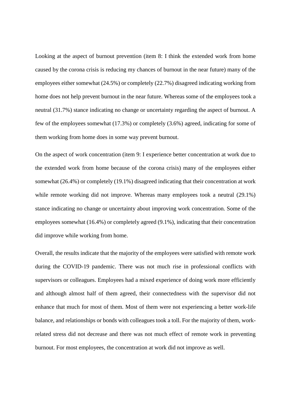Looking at the aspect of burnout prevention (item 8: I think the extended work from home caused by the corona crisis is reducing my chances of burnout in the near future) many of the employees either somewhat (24.5%) or completely (22.7%) disagreed indicating working from home does not help prevent burnout in the near future. Whereas some of the employees took a neutral (31.7%) stance indicating no change or uncertainty regarding the aspect of burnout. A few of the employees somewhat (17.3%) or completely (3.6%) agreed, indicating for some of them working from home does in some way prevent burnout.

On the aspect of work concentration (item 9: I experience better concentration at work due to the extended work from home because of the corona crisis) many of the employees either somewhat (26.4%) or completely (19.1%) disagreed indicating that their concentration at work while remote working did not improve. Whereas many employees took a neutral  $(29.1\%)$ stance indicating no change or uncertainty about improving work concentration. Some of the employees somewhat (16.4%) or completely agreed (9.1%), indicating that their concentration did improve while working from home.

Overall, the results indicate that the majority of the employees were satisfied with remote work during the COVID-19 pandemic. There was not much rise in professional conflicts with supervisors or colleagues. Employees had a mixed experience of doing work more efficiently and although almost half of them agreed, their connectedness with the supervisor did not enhance that much for most of them. Most of them were not experiencing a better work-life balance, and relationships or bonds with colleagues took a toll. For the majority of them, workrelated stress did not decrease and there was not much effect of remote work in preventing burnout. For most employees, the concentration at work did not improve as well.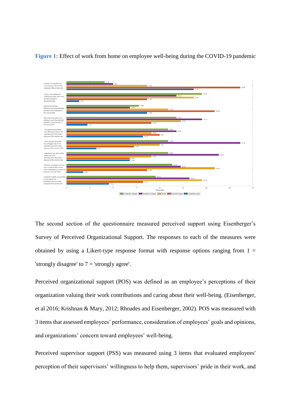

**Figure 1:** Effect of work from home on employee well-being during the COVID-19 pandemic

The second section of the questionnaire measured perceived support using Eisenberger's Survey of Perceived Organizational Support. The responses to each of the measures were obtained by using a Likert-type response format with response options ranging from  $1 =$ 'strongly disagree' to  $7 =$  'strongly agree'.

Perceived organizational support (POS) was defined as an employee's perceptions of their organization valuing their work contributions and caring about their well-being. (Eisenberger, et al 2016; Krishnan & Mary, 2012; Rhoades and Eisenberger, 2002). POS was measured with 3 items that assessed employees' performance, consideration of employees' goals and opinions, and organizations' concern toward employees' well-being.

Perceived supervisor support (PSS) was measured using 3 items that evaluated employees' perception of their supervisors' willingness to help them, supervisors' pride in their work, and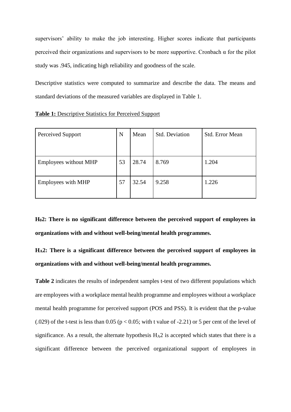supervisors' ability to make the job interesting. Higher scores indicate that participants perceived their organizations and supervisors to be more supportive. Cronbach  $\alpha$  for the pilot study was .945, indicating high reliability and goodness of the scale.

Descriptive statistics were computed to summarize and describe the data. The means and standard deviations of the measured variables are displayed in Table 1.

| Perceived Support | $\mathbf N$ | Mean | <b>Std. Deviation</b> | Std. Error Mean |
|-------------------|-------------|------|-----------------------|-----------------|
|                   |             |      |                       |                 |

Employees without MHP  $\begin{array}{|c|c|c|c|c|c|c|c|c|} \hline 53 & 28.74 & 8.769 & 1.204 \hline \end{array}$ 

Employees with MHP  $\begin{array}{|c|c|c|c|c|c|c|c|c|} \hline 57 & 32.54 & 9.258 & 1.226 \hline \end{array}$ 

**Table 1:** Descriptive Statistics for Perceived Support

**H02: There is no significant difference between the perceived support of employees in organizations with and without well-being/mental health programmes.**

**HA2: There is a significant difference between the perceived support of employees in organizations with and without well-being/mental health programmes.**

**Table 2** indicates the results of independent samples t-test of two different populations which are employees with a workplace mental health programme and employees without a workplace mental health programme for perceived support (POS and PSS). It is evident that the p-value (.029) of the t-test is less than 0.05 ( $p < 0.05$ ; with t value of -2.21) or 5 per cent of the level of significance. As a result, the alternate hypothesis  $H_A2$  is accepted which states that there is a significant difference between the perceived organizational support of employees in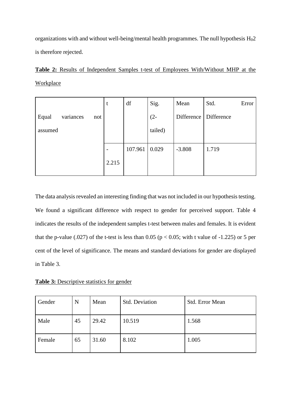organizations with and without well-being/mental health programmes. The null hypothesis  $H<sub>0</sub>2$ is therefore rejected.

**Table 2:** Results of Independent Samples t-test of Employees With/Without MHP at the Workplace

|                    | t              | df      | Sig.    | Mean       | Std.       | Error |
|--------------------|----------------|---------|---------|------------|------------|-------|
| Equal<br>variances | not            |         | $(2 -$  | Difference | Difference |       |
| assumed            |                |         | tailed) |            |            |       |
|                    |                |         |         |            |            |       |
|                    | $\overline{a}$ | 107.961 | 0.029   | $-3.808$   | 1.719      |       |
|                    | 2.215          |         |         |            |            |       |

The data analysis revealed an interesting finding that was not included in our hypothesis testing. We found a significant difference with respect to gender for perceived support. Table 4 indicates the results of the independent samples t-test between males and females. It is evident that the p-value (.027) of the t-test is less than 0.05 ( $p < 0.05$ ; with t value of -1.225) or 5 per cent of the level of significance. The means and standard deviations for gender are displayed in Table 3.

**Table 3:** Descriptive statistics for gender

| Gender | N  | Mean  | <b>Std. Deviation</b> | Std. Error Mean |
|--------|----|-------|-----------------------|-----------------|
| Male   | 45 | 29.42 | 10.519                | 1.568           |
| Female | 65 | 31.60 | 8.102                 | 1.005           |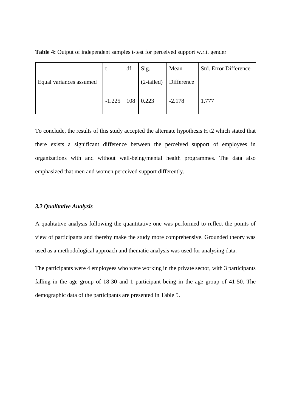**Table 4:** Output of independent samples t-test for perceived support w.r.t. gender

|                         |          | df  | Sig.         | Mean       | <b>Std. Error Difference</b> |
|-------------------------|----------|-----|--------------|------------|------------------------------|
| Equal variances assumed |          |     | $(2-tailed)$ | Difference |                              |
|                         | $-1.225$ | 108 | 0.223        | $-2.178$   | .777                         |

To conclude, the results of this study accepted the alternate hypothesis  $H_A2$  which stated that there exists a significant difference between the perceived support of employees in organizations with and without well-being/mental health programmes. The data also emphasized that men and women perceived support differently.

# *3.2 Qualitative Analysis*

A qualitative analysis following the quantitative one was performed to reflect the points of view of participants and thereby make the study more comprehensive. Grounded theory was used as a methodological approach and thematic analysis was used for analysing data.

The participants were 4 employees who were working in the private sector, with 3 participants falling in the age group of 18-30 and 1 participant being in the age group of 41-50. The demographic data of the participants are presented in Table 5.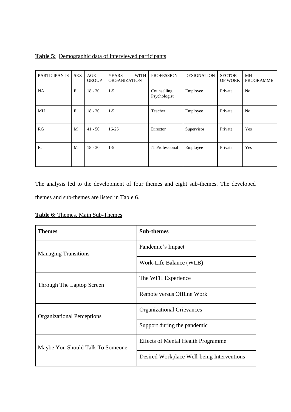| <b>PARTICIPANTS</b> | <b>SEX</b> | AGE<br><b>GROUP</b> | <b>WITH</b><br><b>YEARS</b><br><b>ORGANIZATION</b> | <b>PROFESSION</b>           | <b>DESIGNATION</b> | <b>SECTOR</b><br><b>OF WORK</b> | MН<br><b>PROGRAMME</b> |
|---------------------|------------|---------------------|----------------------------------------------------|-----------------------------|--------------------|---------------------------------|------------------------|
| <b>NA</b>           | F          | $18 - 30$           | $1-5$                                              | Counselling<br>Psychologist | Employee           | Private                         | N <sub>o</sub>         |
| MH                  | F          | $18 - 30$           | $1-5$                                              | Teacher                     | Employee           | Private                         | No                     |
| RG                  | M          | $41 - 50$           | $16-25$                                            | Director                    | Supervisor         | Private                         | Yes                    |
| RJ                  | M          | $18 - 30$           | $1-5$                                              | IT Professional             | Employee           | Private                         | Yes                    |

The analysis led to the development of four themes and eight sub-themes. The developed themes and sub-themes are listed in Table 6.

Table 6: Themes, Main Sub-Themes

| <b>Themes</b>                     | <b>Sub-themes</b>                          |  |
|-----------------------------------|--------------------------------------------|--|
| <b>Managing Transitions</b>       | Pandemic's Impact                          |  |
|                                   | Work-Life Balance (WLB)                    |  |
| Through The Laptop Screen         | The WFH Experience                         |  |
|                                   | Remote versus Offline Work                 |  |
| <b>Organizational Perceptions</b> | <b>Organizational Grievances</b>           |  |
|                                   | Support during the pandemic                |  |
| Maybe You Should Talk To Someone  | <b>Effects of Mental Health Programme</b>  |  |
|                                   | Desired Workplace Well-being Interventions |  |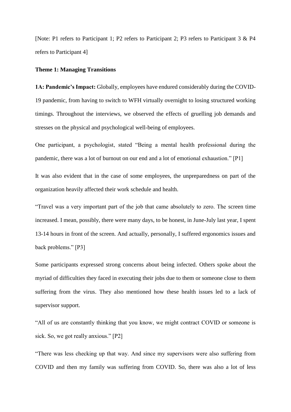[Note: P1 refers to Participant 1; P2 refers to Participant 2; P3 refers to Participant 3 & P4 refers to Participant 4]

## **Theme 1: Managing Transitions**

**1A: Pandemic's Impact:** Globally, employees have endured considerably during the COVID-19 pandemic, from having to switch to WFH virtually overnight to losing structured working timings. Throughout the interviews, we observed the effects of gruelling job demands and stresses on the physical and psychological well-being of employees.

One participant, a psychologist, stated "Being a mental health professional during the pandemic, there was a lot of burnout on our end and a lot of emotional exhaustion." [P1]

It was also evident that in the case of some employees, the unpreparedness on part of the organization heavily affected their work schedule and health.

"Travel was a very important part of the job that came absolutely to zero. The screen time increased. I mean, possibly, there were many days, to be honest, in June-July last year, I spent 13-14 hours in front of the screen. And actually, personally, I suffered ergonomics issues and back problems." [P3]

Some participants expressed strong concerns about being infected. Others spoke about the myriad of difficulties they faced in executing their jobs due to them or someone close to them suffering from the virus. They also mentioned how these health issues led to a lack of supervisor support.

"All of us are constantly thinking that you know, we might contract COVID or someone is sick. So, we got really anxious." [P2]

"There was less checking up that way. And since my supervisors were also suffering from COVID and then my family was suffering from COVID. So, there was also a lot of less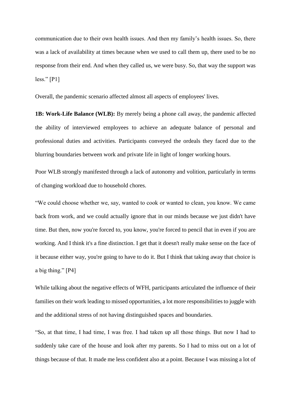communication due to their own health issues. And then my family's health issues. So, there was a lack of availability at times because when we used to call them up, there used to be no response from their end. And when they called us, we were busy. So, that way the support was less." [P1]

Overall, the pandemic scenario affected almost all aspects of employees' lives.

**1B: Work-Life Balance (WLB):** By merely being a phone call away, the pandemic affected the ability of interviewed employees to achieve an adequate balance of personal and professional duties and activities. Participants conveyed the ordeals they faced due to the blurring boundaries between work and private life in light of longer working hours.

Poor WLB strongly manifested through a lack of autonomy and volition, particularly in terms of changing workload due to household chores.

"We could choose whether we, say, wanted to cook or wanted to clean, you know. We came back from work, and we could actually ignore that in our minds because we just didn't have time. But then, now you're forced to, you know, you're forced to pencil that in even if you are working. And I think it's a fine distinction. I get that it doesn't really make sense on the face of it because either way, you're going to have to do it. But I think that taking away that choice is a big thing." [P4]

While talking about the negative effects of WFH, participants articulated the influence of their families on their work leading to missed opportunities, a lot more responsibilities to juggle with and the additional stress of not having distinguished spaces and boundaries.

"So, at that time, I had time, I was free. I had taken up all those things. But now I had to suddenly take care of the house and look after my parents. So I had to miss out on a lot of things because of that. It made me less confident also at a point. Because I was missing a lot of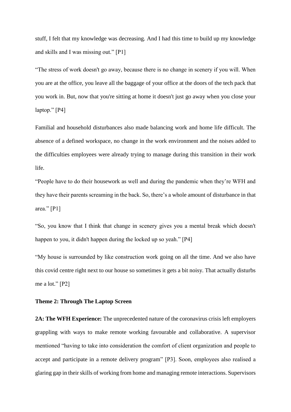stuff, I felt that my knowledge was decreasing. And I had this time to build up my knowledge and skills and I was missing out." [P1]

"The stress of work doesn't go away, because there is no change in scenery if you will. When you are at the office, you leave all the baggage of your office at the doors of the tech pack that you work in. But, now that you're sitting at home it doesn't just go away when you close your laptop." [P4]

Familial and household disturbances also made balancing work and home life difficult. The absence of a defined workspace, no change in the work environment and the noises added to the difficulties employees were already trying to manage during this transition in their work life.

"People have to do their housework as well and during the pandemic when they're WFH and they have their parents screaming in the back. So, there's a whole amount of disturbance in that area." [P1]

"So, you know that I think that change in scenery gives you a mental break which doesn't happen to you, it didn't happen during the locked up so yeah." [P4]

"My house is surrounded by like construction work going on all the time. And we also have this covid centre right next to our house so sometimes it gets a bit noisy. That actually disturbs me a lot." [P2]

# **Theme 2: Through The Laptop Screen**

**2A: The WFH Experience:** The unprecedented nature of the coronavirus crisis left employers grappling with ways to make remote working favourable and collaborative. A supervisor mentioned "having to take into consideration the comfort of client organization and people to accept and participate in a remote delivery program" [P3]. Soon, employees also realised a glaring gap in their skills of working from home and managing remote interactions. Supervisors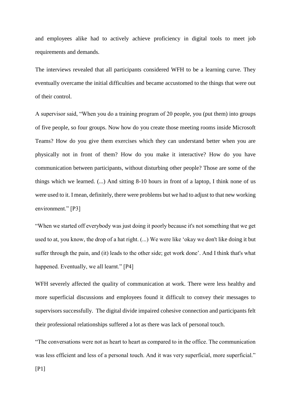and employees alike had to actively achieve proficiency in digital tools to meet job requirements and demands.

The interviews revealed that all participants considered WFH to be a learning curve. They eventually overcame the initial difficulties and became accustomed to the things that were out of their control.

A supervisor said, "When you do a training program of 20 people, you (put them) into groups of five people, so four groups. Now how do you create those meeting rooms inside Microsoft Teams? How do you give them exercises which they can understand better when you are physically not in front of them? How do you make it interactive? How do you have communication between participants, without disturbing other people? Those are some of the things which we learned. (...) And sitting 8-10 hours in front of a laptop, I think none of us were used to it. I mean, definitely, there were problems but we had to adjust to that new working environment." [P3]

"When we started off everybody was just doing it poorly because it's not something that we get used to at, you know, the drop of a hat right. (...) We were like 'okay we don't like doing it but suffer through the pain, and (it) leads to the other side; get work done'. And I think that's what happened. Eventually, we all learnt." [P4]

WFH severely affected the quality of communication at work. There were less healthy and more superficial discussions and employees found it difficult to convey their messages to supervisors successfully. The digital divide impaired cohesive connection and participants felt their professional relationships suffered a lot as there was lack of personal touch.

"The conversations were not as heart to heart as compared to in the office. The communication was less efficient and less of a personal touch. And it was very superficial, more superficial."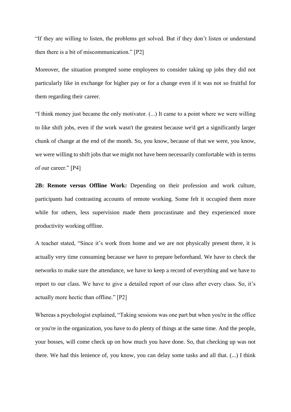"If they are willing to listen, the problems get solved. But if they don't listen or understand then there is a bit of miscommunication." [P2]

Moreover, the situation prompted some employees to consider taking up jobs they did not particularly like in exchange for higher pay or for a change even if it was not so fruitful for them regarding their career.

"I think money just became the only motivator. (...) It came to a point where we were willing to like shift jobs, even if the work wasn't the greatest because we'd get a significantly larger chunk of change at the end of the month. So, you know, because of that we were, you know, we were willing to shift jobs that we might not have been necessarily comfortable with in terms of our career." [P4]

**2B: Remote versus Offline Work:** Depending on their profession and work culture, participants had contrasting accounts of remote working. Some felt it occupied them more while for others, less supervision made them procrastinate and they experienced more productivity working offline.

A teacher stated, "Since it's work from home and we are not physically present there, it is actually very time consuming because we have to prepare beforehand. We have to check the networks to make sure the attendance, we have to keep a record of everything and we have to report to our class. We have to give a detailed report of our class after every class. So, it's actually more hectic than offline." [P2]

Whereas a psychologist explained, "Taking sessions was one part but when you're in the office or you're in the organization, you have to do plenty of things at the same time. And the people, your bosses, will come check up on how much you have done. So, that checking up was not there. We had this lenience of, you know, you can delay some tasks and all that. (...) I think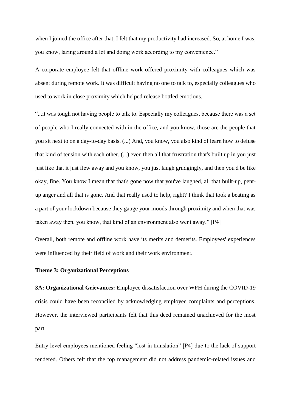when I joined the office after that, I felt that my productivity had increased. So, at home I was, you know, lazing around a lot and doing work according to my convenience."

A corporate employee felt that offline work offered proximity with colleagues which was absent during remote work. It was difficult having no one to talk to, especially colleagues who used to work in close proximity which helped release bottled emotions.

"...it was tough not having people to talk to. Especially my colleagues, because there was a set of people who I really connected with in the office, and you know, those are the people that you sit next to on a day-to-day basis. (...) And, you know, you also kind of learn how to defuse that kind of tension with each other. (...) even then all that frustration that's built up in you just just like that it just flew away and you know, you just laugh grudgingly, and then you'd be like okay, fine. You know I mean that that's gone now that you've laughed, all that built-up, pentup anger and all that is gone. And that really used to help, right? I think that took a beating as a part of your lockdown because they gauge your moods through proximity and when that was taken away then, you know, that kind of an environment also went away." [P4]

Overall, both remote and offline work have its merits and demerits. Employees' experiences were influenced by their field of work and their work environment.

# **Theme 3: Organizational Perceptions**

**3A: Organizational Grievances:** Employee dissatisfaction over WFH during the COVID-19 crisis could have been reconciled by acknowledging employee complaints and perceptions. However, the interviewed participants felt that this deed remained unachieved for the most part.

Entry-level employees mentioned feeling "lost in translation" [P4] due to the lack of support rendered. Others felt that the top management did not address pandemic-related issues and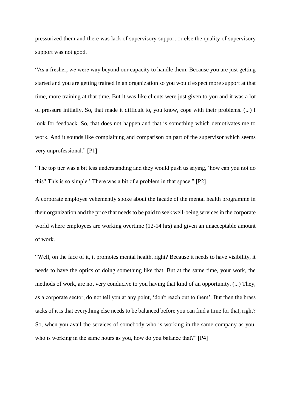pressurized them and there was lack of supervisory support or else the quality of supervisory support was not good.

"As a fresher, we were way beyond our capacity to handle them. Because you are just getting started and you are getting trained in an organization so you would expect more support at that time, more training at that time. But it was like clients were just given to you and it was a lot of pressure initially. So, that made it difficult to, you know, cope with their problems. (...) I look for feedback. So, that does not happen and that is something which demotivates me to work. And it sounds like complaining and comparison on part of the supervisor which seems very unprofessional." [P1]

"The top tier was a bit less understanding and they would push us saying, 'how can you not do this? This is so simple.' There was a bit of a problem in that space." [P2]

A corporate employee vehemently spoke about the facade of the mental health programme in their organization and the price that needs to be paid to seek well-being services in the corporate world where employees are working overtime (12-14 hrs) and given an unacceptable amount of work.

"Well, on the face of it, it promotes mental health, right? Because it needs to have visibility, it needs to have the optics of doing something like that. But at the same time, your work, the methods of work, are not very conducive to you having that kind of an opportunity. (...) They, as a corporate sector, do not tell you at any point, 'don't reach out to them'. But then the brass tacks of it is that everything else needs to be balanced before you can find a time for that, right? So, when you avail the services of somebody who is working in the same company as you, who is working in the same hours as you, how do you balance that?" [P4]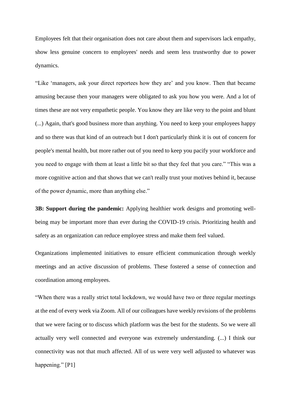Employees felt that their organisation does not care about them and supervisors lack empathy, show less genuine concern to employees' needs and seem less trustworthy due to power dynamics.

"Like 'managers, ask your direct reportees how they are' and you know. Then that became amusing because then your managers were obligated to ask you how you were. And a lot of times these are not very empathetic people. You know they are like very to the point and blunt (...) Again, that's good business more than anything. You need to keep your employees happy and so there was that kind of an outreach but I don't particularly think it is out of concern for people's mental health, but more rather out of you need to keep you pacify your workforce and you need to engage with them at least a little bit so that they feel that you care." "This was a more cognitive action and that shows that we can't really trust your motives behind it, because of the power dynamic, more than anything else."

**3B: Support during the pandemic:** Applying healthier work designs and promoting wellbeing may be important more than ever during the COVID-19 crisis. Prioritizing health and safety as an organization can reduce employee stress and make them feel valued.

Organizations implemented initiatives to ensure efficient communication through weekly meetings and an active discussion of problems. These fostered a sense of connection and coordination among employees.

"When there was a really strict total lockdown, we would have two or three regular meetings at the end of every week via Zoom. All of our colleagues have weekly revisions of the problems that we were facing or to discuss which platform was the best for the students. So we were all actually very well connected and everyone was extremely understanding. (...) I think our connectivity was not that much affected. All of us were very well adjusted to whatever was happening." [P1]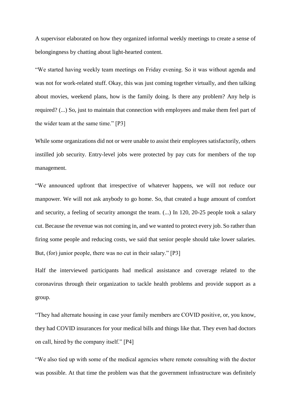A supervisor elaborated on how they organized informal weekly meetings to create a sense of belongingness by chatting about light-hearted content.

"We started having weekly team meetings on Friday evening. So it was without agenda and was not for work-related stuff. Okay, this was just coming together virtually, and then talking about movies, weekend plans, how is the family doing. Is there any problem? Any help is required? (...) So, just to maintain that connection with employees and make them feel part of the wider team at the same time." [P3]

While some organizations did not or were unable to assist their employees satisfactorily, others instilled job security. Entry-level jobs were protected by pay cuts for members of the top management.

"We announced upfront that irrespective of whatever happens, we will not reduce our manpower. We will not ask anybody to go home. So, that created a huge amount of comfort and security, a feeling of security amongst the team. (...) In 120, 20-25 people took a salary cut. Because the revenue was not coming in, and we wanted to protect every job. So rather than firing some people and reducing costs, we said that senior people should take lower salaries. But, (for) junior people, there was no cut in their salary." [P3]

Half the interviewed participants had medical assistance and coverage related to the coronavirus through their organization to tackle health problems and provide support as a group.

"They had alternate housing in case your family members are COVID positive, or, you know, they had COVID insurances for your medical bills and things like that. They even had doctors on call, hired by the company itself." [P4]

"We also tied up with some of the medical agencies where remote consulting with the doctor was possible. At that time the problem was that the government infrastructure was definitely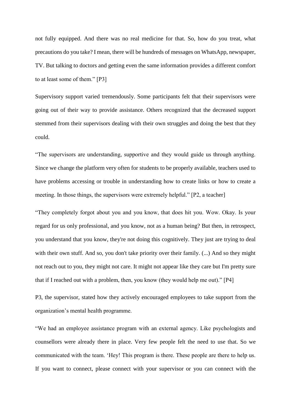not fully equipped. And there was no real medicine for that. So, how do you treat, what precautions do you take? I mean, there will be hundreds of messages on WhatsApp, newspaper, TV. But talking to doctors and getting even the same information provides a different comfort to at least some of them." [P3]

Supervisory support varied tremendously. Some participants felt that their supervisors were going out of their way to provide assistance. Others recognized that the decreased support stemmed from their supervisors dealing with their own struggles and doing the best that they could.

"The supervisors are understanding, supportive and they would guide us through anything. Since we change the platform very often for students to be properly available, teachers used to have problems accessing or trouble in understanding how to create links or how to create a meeting. In those things, the supervisors were extremely helpful." [P2, a teacher]

"They completely forgot about you and you know, that does hit you. Wow. Okay. Is your regard for us only professional, and you know, not as a human being? But then, in retrospect, you understand that you know, they're not doing this cognitively. They just are trying to deal with their own stuff. And so, you don't take priority over their family. (...) And so they might not reach out to you, they might not care. It might not appear like they care but I'm pretty sure that if I reached out with a problem, then, you know (they would help me out)." [P4]

P3, the supervisor, stated how they actively encouraged employees to take support from the organization's mental health programme.

"We had an employee assistance program with an external agency. Like psychologists and counsellors were already there in place. Very few people felt the need to use that. So we communicated with the team. 'Hey! This program is there. These people are there to help us. If you want to connect, please connect with your supervisor or you can connect with the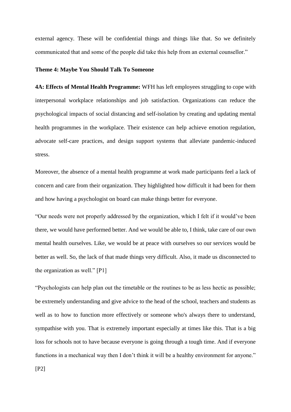external agency. These will be confidential things and things like that. So we definitely communicated that and some of the people did take this help from an external counsellor."

#### **Theme 4: Maybe You Should Talk To Someone**

**4A: Effects of Mental Health Programme:** WFH has left employees struggling to cope with interpersonal workplace relationships and job satisfaction. Organizations can reduce the psychological impacts of social distancing and self-isolation by creating and updating mental health programmes in the workplace. Their existence can help achieve emotion regulation, advocate self-care practices, and design support systems that alleviate pandemic-induced stress.

Moreover, the absence of a mental health programme at work made participants feel a lack of concern and care from their organization. They highlighted how difficult it had been for them and how having a psychologist on board can make things better for everyone.

"Our needs were not properly addressed by the organization, which I felt if it would've been there, we would have performed better. And we would be able to, I think, take care of our own mental health ourselves. Like, we would be at peace with ourselves so our services would be better as well. So, the lack of that made things very difficult. Also, it made us disconnected to the organization as well." [P1]

"Psychologists can help plan out the timetable or the routines to be as less hectic as possible; be extremely understanding and give advice to the head of the school, teachers and students as well as to how to function more effectively or someone who's always there to understand, sympathise with you. That is extremely important especially at times like this. That is a big loss for schools not to have because everyone is going through a tough time. And if everyone functions in a mechanical way then I don't think it will be a healthy environment for anyone."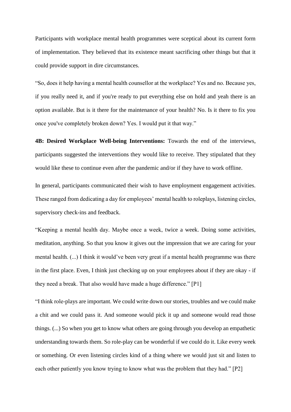Participants with workplace mental health programmes were sceptical about its current form of implementation. They believed that its existence meant sacrificing other things but that it could provide support in dire circumstances.

"So, does it help having a mental health counsellor at the workplace? Yes and no. Because yes, if you really need it, and if you're ready to put everything else on hold and yeah there is an option available. But is it there for the maintenance of your health? No. Is it there to fix you once you've completely broken down? Yes. I would put it that way."

**4B: Desired Workplace Well-being Interventions:** Towards the end of the interviews, participants suggested the interventions they would like to receive. They stipulated that they would like these to continue even after the pandemic and/or if they have to work offline.

In general, participants communicated their wish to have employment engagement activities. These ranged from dedicating a day for employees' mental health to roleplays, listening circles, supervisory check-ins and feedback.

"Keeping a mental health day. Maybe once a week, twice a week. Doing some activities, meditation, anything. So that you know it gives out the impression that we are caring for your mental health. (...) I think it would've been very great if a mental health programme was there in the first place. Even, I think just checking up on your employees about if they are okay - if they need a break. That also would have made a huge difference." [P1]

"I think role-plays are important. We could write down our stories, troubles and we could make a chit and we could pass it. And someone would pick it up and someone would read those things. (...) So when you get to know what others are going through you develop an empathetic understanding towards them. So role-play can be wonderful if we could do it. Like every week or something. Or even listening circles kind of a thing where we would just sit and listen to each other patiently you know trying to know what was the problem that they had." [P2]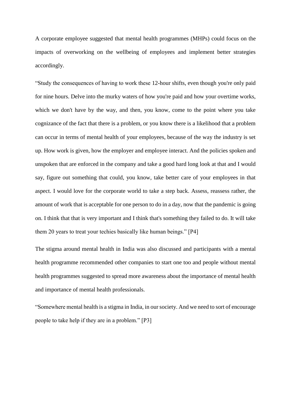A corporate employee suggested that mental health programmes (MHPs) could focus on the impacts of overworking on the wellbeing of employees and implement better strategies accordingly.

"Study the consequences of having to work these 12-hour shifts, even though you're only paid for nine hours. Delve into the murky waters of how you're paid and how your overtime works, which we don't have by the way, and then, you know, come to the point where you take cognizance of the fact that there is a problem, or you know there is a likelihood that a problem can occur in terms of mental health of your employees, because of the way the industry is set up. How work is given, how the employer and employee interact. And the policies spoken and unspoken that are enforced in the company and take a good hard long look at that and I would say, figure out something that could, you know, take better care of your employees in that aspect. I would love for the corporate world to take a step back. Assess, reassess rather, the amount of work that is acceptable for one person to do in a day, now that the pandemic is going on. I think that that is very important and I think that's something they failed to do. It will take them 20 years to treat your techies basically like human beings." [P4]

The stigma around mental health in India was also discussed and participants with a mental health programme recommended other companies to start one too and people without mental health programmes suggested to spread more awareness about the importance of mental health and importance of mental health professionals.

"Somewhere mental health is a stigma in India, in our society. And we need to sort of encourage people to take help if they are in a problem." [P3]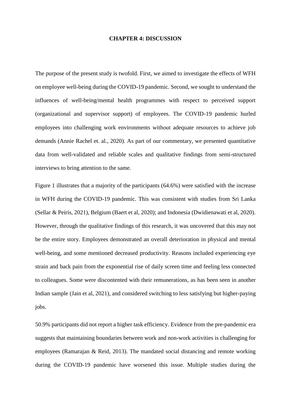#### **CHAPTER 4: DISCUSSION**

The purpose of the present study is twofold. First, we aimed to investigate the effects of WFH on employee well-being during the COVID-19 pandemic. Second, we sought to understand the influences of well-being/mental health programmes with respect to perceived support (organizational and supervisor support) of employees. The COVID-19 pandemic hurled employees into challenging work environments without adequate resources to achieve job demands (Annie Rachel et. al., 2020). As part of our commentary, we presented quantitative data from well-validated and reliable scales and qualitative findings from semi-structured interviews to bring attention to the same.

Figure 1 illustrates that a majority of the participants (64.6%) were satisfied with the increase in WFH during the COVID-19 pandemic. This was consistent with studies from Sri Lanka (Sellar & Peiris, 2021), Belgium (Baert et al, 2020); and Indonesia (Dwidienawati et al, 2020). However, through the qualitative findings of this research, it was uncovered that this may not be the entire story. Employees demonstrated an overall deterioration in physical and mental well-being, and some mentioned decreased productivity. Reasons included experiencing eye strain and back pain from the exponential rise of daily screen time and feeling less connected to colleagues. Some were discontented with their remunerations, as has been seen in another Indian sample (Jain et al, 2021), and considered switching to less satisfying but higher-paying jobs.

50.9% participants did not report a higher task efficiency. Evidence from the pre-pandemic era suggests that maintaining boundaries between work and non-work activities is challenging for employees (Ramarajan & Reid, 2013). The mandated social distancing and remote working during the COVID-19 pandemic have worsened this issue. Multiple studies during the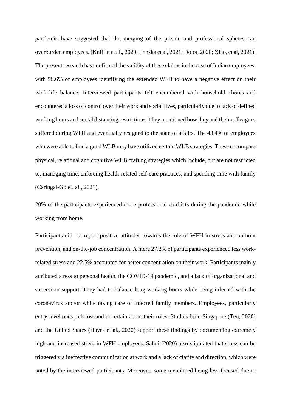pandemic have suggested that the merging of the private and professional spheres can overburden employees. (Kniffin et al., 2020; Lonska et al, 2021; Dolot, 2020; Xiao, et al, 2021). The present research has confirmed the validity of these claims in the case of Indian employees, with 56.6% of employees identifying the extended WFH to have a negative effect on their work-life balance. Interviewed participants felt encumbered with household chores and encountered a loss of control over their work and social lives, particularly due to lack of defined working hours and social distancing restrictions. They mentioned how they and their colleagues suffered during WFH and eventually resigned to the state of affairs. The 43.4% of employees who were able to find a good WLB may have utilized certain WLB strategies. These encompass physical, relational and cognitive WLB crafting strategies which include, but are not restricted to, managing time, enforcing health-related self-care practices, and spending time with family (Caringal-Go et. al., 2021).

20% of the participants experienced more professional conflicts during the pandemic while working from home.

Participants did not report positive attitudes towards the role of WFH in stress and burnout prevention, and on-the-job concentration. A mere 27.2% of participants experienced less workrelated stress and 22.5% accounted for better concentration on their work. Participants mainly attributed stress to personal health, the COVID-19 pandemic, and a lack of organizational and supervisor support. They had to balance long working hours while being infected with the coronavirus and/or while taking care of infected family members. Employees, particularly entry-level ones, felt lost and uncertain about their roles. Studies from Singapore (Teo, 2020) and the United States (Hayes et al., 2020) support these findings by documenting extremely high and increased stress in WFH employees. Sahni (2020) also stipulated that stress can be triggered via ineffective communication at work and a lack of clarity and direction, which were noted by the interviewed participants. Moreover, some mentioned being less focused due to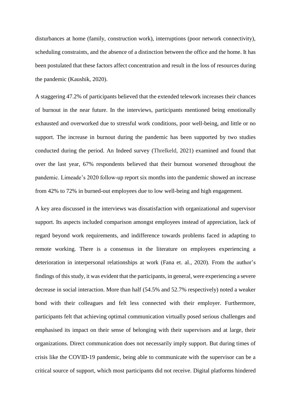disturbances at home (family, construction work), interruptions (poor network connectivity), scheduling constraints, and the absence of a distinction between the office and the home. It has been postulated that these factors affect concentration and result in the loss of resources during the pandemic (Kaushik, 2020).

A staggering 47.2% of participants believed that the extended telework increases their chances of burnout in the near future. In the interviews, participants mentioned being emotionally exhausted and overworked due to stressful work conditions, poor well-being, and little or no support. The increase in burnout during the pandemic has been supported by two studies conducted during the period. An Indeed survey (Threlkeld, 2021) examined and found that over the last year, 67% respondents believed that their burnout worsened throughout the pandemic. Limeade's 2020 follow-up report six months into the pandemic showed an increase from 42% to 72% in burned-out employees due to low well-being and high engagement.

A key area discussed in the interviews was dissatisfaction with organizational and supervisor support. Its aspects included comparison amongst employees instead of appreciation, lack of regard beyond work requirements, and indifference towards problems faced in adapting to remote working. There is a consensus in the literature on employees experiencing a deterioration in interpersonal relationships at work (Fana et. al., 2020). From the author's findings of this study, it was evident that the participants, in general, were experiencing a severe decrease in social interaction. More than half (54.5% and 52.7% respectively) noted a weaker bond with their colleagues and felt less connected with their employer. Furthermore, participants felt that achieving optimal communication virtually posed serious challenges and emphasised its impact on their sense of belonging with their supervisors and at large, their organizations. Direct communication does not necessarily imply support. But during times of crisis like the COVID-19 pandemic, being able to communicate with the supervisor can be a critical source of support, which most participants did not receive. Digital platforms hindered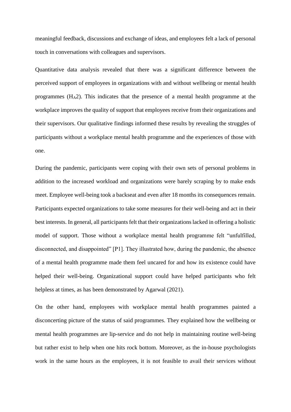meaningful feedback, discussions and exchange of ideas, and employees felt a lack of personal touch in conversations with colleagues and supervisors.

Quantitative data analysis revealed that there was a significant difference between the perceived support of employees in organizations with and without wellbeing or mental health programmes  $(H_A2)$ . This indicates that the presence of a mental health programme at the workplace improves the quality of support that employees receive from their organizations and their supervisors. Our qualitative findings informed these results by revealing the struggles of participants without a workplace mental health programme and the experiences of those with one.

During the pandemic, participants were coping with their own sets of personal problems in addition to the increased workload and organizations were barely scraping by to make ends meet. Employee well-being took a backseat and even after 18 months its consequences remain. Participants expected organizations to take some measures for their well-being and act in their best interests. In general, all participants felt that their organizations lacked in offering a holistic model of support. Those without a workplace mental health programme felt "unfulfilled, disconnected, and disappointed" [P1]. They illustrated how, during the pandemic, the absence of a mental health programme made them feel uncared for and how its existence could have helped their well-being. Organizational support could have helped participants who felt helpless at times, as has been demonstrated by Agarwal (2021).

On the other hand, employees with workplace mental health programmes painted a disconcerting picture of the status of said programmes. They explained how the wellbeing or mental health programmes are lip-service and do not help in maintaining routine well-being but rather exist to help when one hits rock bottom. Moreover, as the in-house psychologists work in the same hours as the employees, it is not feasible to avail their services without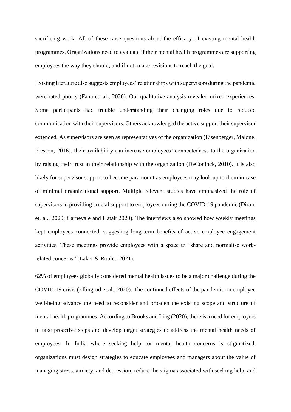sacrificing work. All of these raise questions about the efficacy of existing mental health programmes. Organizations need to evaluate if their mental health programmes are supporting employees the way they should, and if not, make revisions to reach the goal.

Existing literature also suggests employees' relationships with supervisors during the pandemic were rated poorly (Fana et. al., 2020). Our qualitative analysis revealed mixed experiences. Some participants had trouble understanding their changing roles due to reduced communication with their supervisors. Others acknowledged the active support their supervisor extended. As supervisors are seen as representatives of the organization (Eisenberger, Malone, Presson; 2016), their availability can increase employees' connectedness to the organization by raising their trust in their relationship with the organization (DeConinck, 2010). It is also likely for supervisor support to become paramount as employees may look up to them in case of minimal organizational support. Multiple relevant studies have emphasized the role of supervisors in providing crucial support to employees during the COVID-19 pandemic (Dirani et. al., 2020; Carnevale and Hatak 2020). The interviews also showed how weekly meetings kept employees connected, suggesting long-term benefits of active employee engagement activities. These meetings provide employees with a space to "share and normalise workrelated concerns" (Laker & Roulet, 2021).

62% of employees globally considered mental health issues to be a major challenge during the COVID-19 crisis (Ellingrud et.al., 2020). The continued effects of the pandemic on employee well-being advance the need to reconsider and broaden the existing scope and structure of mental health programmes. According to Brooks and Ling (2020), there is a need for employers to take proactive steps and develop target strategies to address the mental health needs of employees. In India where seeking help for mental health concerns is stigmatized, organizations must design strategies to educate employees and managers about the value of managing stress, anxiety, and depression, reduce the stigma associated with seeking help, and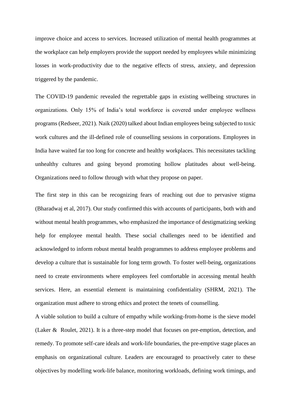improve choice and access to services. Increased utilization of mental health programmes at the workplace can help employers provide the support needed by employees while minimizing losses in work-productivity due to the negative effects of stress, anxiety, and depression triggered by the pandemic.

The COVID-19 pandemic revealed the regrettable gaps in existing wellbeing structures in organizations. Only 15% of India's total workforce is covered under employee wellness programs (Redseer, 2021). Naik (2020) talked about Indian employees being subjected to toxic work cultures and the ill-defined role of counselling sessions in corporations. Employees in India have waited far too long for concrete and healthy workplaces. This necessitates tackling unhealthy cultures and going beyond promoting hollow platitudes about well-being. Organizations need to follow through with what they propose on paper.

The first step in this can be recognizing fears of reaching out due to pervasive stigma (Bharadwaj et al, 2017). Our study confirmed this with accounts of participants, both with and without mental health programmes, who emphasized the importance of destigmatizing seeking help for employee mental health. These social challenges need to be identified and acknowledged to inform robust mental health programmes to address employee problems and develop a culture that is sustainable for long term growth. To foster well-being, organizations need to create environments where employees feel comfortable in accessing mental health services. Here, an essential element is maintaining confidentiality (SHRM, 2021). The organization must adhere to strong ethics and protect the tenets of counselling.

A viable solution to build a culture of empathy while working-from-home is the sieve model (Laker & Roulet, 2021). It is a three-step model that focuses on pre-emption, detection, and remedy. To promote self-care ideals and work-life boundaries, the pre-emptive stage places an emphasis on organizational culture. Leaders are encouraged to proactively cater to these objectives by modelling work-life balance, monitoring workloads, defining work timings, and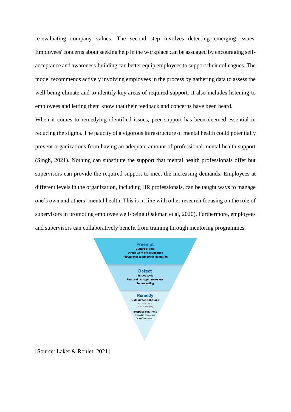re-evaluating company values. The second step involves detecting emerging issues. Employees' concerns about seeking help in the workplace can be assuaged by encouraging selfacceptance and awareness-building can better equip employees to support their colleagues. The model recommends actively involving employees in the process by gathering data to assess the well-being climate and to identify key areas of required support. It also includes listening to employees and letting them know that their feedback and concerns have been heard.

When it comes to remedying identified issues, peer support has been deemed essential in reducing the stigma. The paucity of a vigorous infrastructure of mental health could potentially prevent organizations from having an adequate amount of professional mental health support (Singh, 2021). Nothing can substitute the support that mental health professionals offer but supervisors can provide the required support to meet the increasing demands. Employees at different levels in the organization, including HR professionals, can be taught ways to manage one's own and others' mental health. This is in line with other research focusing on the role of supervisors in promoting employee well-being (Oakman et al, 2020). Furthermore, employees and supervisors can collaboratively benefit from training through mentoring programmes.



[Source: Laker & Roulet, 2021]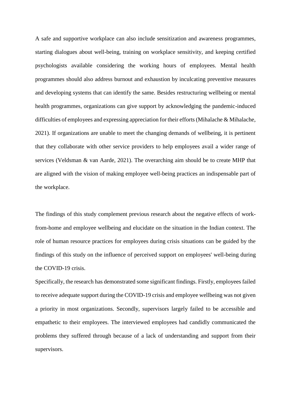A safe and supportive workplace can also include sensitization and awareness programmes, starting dialogues about well-being, training on workplace sensitivity, and keeping certified psychologists available considering the working hours of employees. Mental health programmes should also address burnout and exhaustion by inculcating preventive measures and developing systems that can identify the same. Besides restructuring wellbeing or mental health programmes, organizations can give support by acknowledging the pandemic-induced difficulties of employees and expressing appreciation for their efforts (Mihalache & Mihalache, 2021). If organizations are unable to meet the changing demands of wellbeing, it is pertinent that they collaborate with other service providers to help employees avail a wider range of services (Veldsman & van Aarde, 2021). The overarching aim should be to create MHP that are aligned with the vision of making employee well-being practices an indispensable part of the workplace.

The findings of this study complement previous research about the negative effects of workfrom-home and employee wellbeing and elucidate on the situation in the Indian context. The role of human resource practices for employees during crisis situations can be guided by the findings of this study on the influence of perceived support on employees' well-being during the COVID-19 crisis.

Specifically, the research has demonstrated some significant findings. Firstly, employees failed to receive adequate support during the COVID-19 crisis and employee wellbeing was not given a priority in most organizations. Secondly, supervisors largely failed to be accessible and empathetic to their employees. The interviewed employees had candidly communicated the problems they suffered through because of a lack of understanding and support from their supervisors.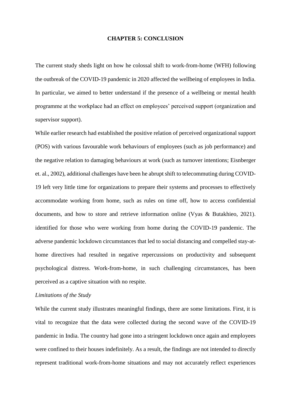#### **CHAPTER 5: CONCLUSION**

The current study sheds light on how he colossal shift to work-from-home (WFH) following the outbreak of the COVID-19 pandemic in 2020 affected the wellbeing of employees in India. In particular, we aimed to better understand if the presence of a wellbeing or mental health programme at the workplace had an effect on employees' perceived support (organization and supervisor support).

While earlier research had established the positive relation of perceived organizational support (POS) with various favourable work behaviours of employees (such as job performance) and the negative relation to damaging behaviours at work (such as turnover intentions; Eisnberger et. al., 2002), additional challenges have been he abrupt shift to telecommuting during COVID-19 left very little time for organizations to prepare their systems and processes to effectively accommodate working from home, such as rules on time off, how to access confidential documents, and how to store and retrieve information online (Vyas & Butakhieo, 2021). identified for those who were working from home during the COVID-19 pandemic. The adverse pandemic lockdown circumstances that led to social distancing and compelled stay-athome directives had resulted in negative repercussions on productivity and subsequent psychological distress. Work-from-home, in such challenging circumstances, has been perceived as a captive situation with no respite.

### *Limitations of the Study*

While the current study illustrates meaningful findings, there are some limitations. First, it is vital to recognize that the data were collected during the second wave of the COVID-19 pandemic in India. The country had gone into a stringent lockdown once again and employees were confined to their houses indefinitely. As a result, the findings are not intended to directly represent traditional work-from-home situations and may not accurately reflect experiences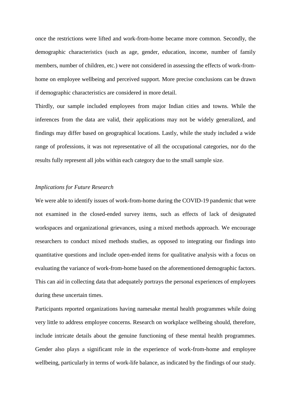once the restrictions were lifted and work-from-home became more common. Secondly, the demographic characteristics (such as age, gender, education, income, number of family members, number of children, etc.) were not considered in assessing the effects of work-fromhome on employee wellbeing and perceived support. More precise conclusions can be drawn if demographic characteristics are considered in more detail.

Thirdly, our sample included employees from major Indian cities and towns. While the inferences from the data are valid, their applications may not be widely generalized, and findings may differ based on geographical locations. Lastly, while the study included a wide range of professions, it was not representative of all the occupational categories, nor do the results fully represent all jobs within each category due to the small sample size.

## *Implications for Future Research*

We were able to identify issues of work-from-home during the COVID-19 pandemic that were not examined in the closed-ended survey items, such as effects of lack of designated workspaces and organizational grievances, using a mixed methods approach. We encourage researchers to conduct mixed methods studies, as opposed to integrating our findings into quantitative questions and include open-ended items for qualitative analysis with a focus on evaluating the variance of work-from-home based on the aforementioned demographic factors. This can aid in collecting data that adequately portrays the personal experiences of employees during these uncertain times.

Participants reported organizations having namesake mental health programmes while doing very little to address employee concerns. Research on workplace wellbeing should, therefore, include intricate details about the genuine functioning of these mental health programmes. Gender also plays a significant role in the experience of work-from-home and employee wellbeing, particularly in terms of work-life balance, as indicated by the findings of our study.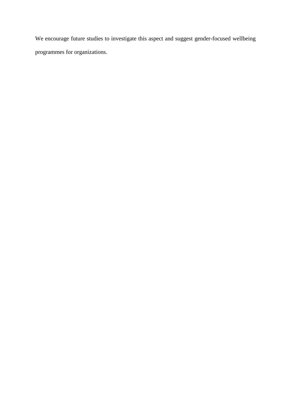We encourage future studies to investigate this aspect and suggest gender-focused wellbeing programmes for organizations.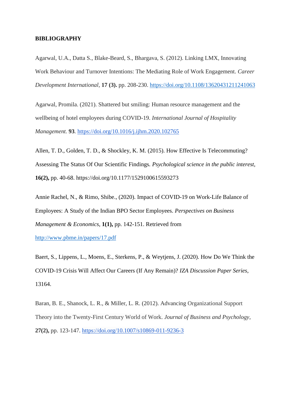## **BIBLIOGRAPHY**

Agarwal, U.A., Datta S., Blake-Beard, S., Bhargava, S. (2012). Linking LMX, Innovating Work Behaviour and Turnover Intentions: The Mediating Role of Work Engagement. *Career Development International,* **17 (3).** pp. 208-230.<https://doi.org/10.1108/13620431211241063>

Agarwal, Promila. (2021). Shattered but smiling: Human resource management and the wellbeing of hotel employees during COVID-19. *International Journal of Hospitality Management.* **93***.* <https://doi.org/10.1016/j.ijhm.2020.102765>

Allen, T. D., Golden, T. D., & Shockley, K. M. (2015). How Effective Is Telecommuting? Assessing The Status Of Our Scientific Findings*. Psychological science in the public interest*, **16(2),** pp. 40-68. https://doi.org/10.1177/1529100615593273

Annie Rachel, N., & Rimo, Shibe., (2020). Impact of COVID-19 on Work-Life Balance of Employees: A Study of the Indian BPO Sector Employees. *Perspectives on Business Management & Economics*, **1(1),** pp. 142-151. Retrieved from

<http://www.pbme.in/papers/17.pdf>

Baert, S., Lippens, L., Moens, E., Sterkens, P., & Weytjens, J. (2020). How Do We Think the COVID-19 Crisis Will Affect Our Careers (If Any Remain)? *IZA Discussion Paper Series*, 13164.

Baran, B. E., Shanock, L. R., & Miller, L. R. (2012). Advancing Organizational Support Theory into the Twenty-First Century World of Work. *Journal of Business and Psychology*, **27(2),** pp. 123-147. <https://doi.org/10.1007/s10869-011-9236-3>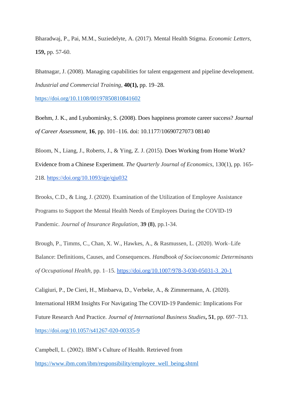Bharadwaj, P., Pai, M.M., Suziedelyte, A. (2017). Mental Health Stigma. *Economic Letters,*  **159,** pp. 57-60.

Bhatnagar, J. (2008). Managing capabilities for talent engagement and pipeline development. *Industrial and Commercial Training*, **40(1),** pp. 19–28.

<https://doi.org/10.1108/00197850810841602>

Boehm, J. K., and Lyubomirsky, S. (2008). Does happiness promote career success? *Journal of Career Assessment,* **16**, pp. 101–116. doi: 10.1177/10690727073 08140

Bloom, N., Liang, J., Roberts, J., & Ying, Z. J. (2015). Does Working from Home Work? Evidence from a Chinese Experiment. *The Quarterly Journal of Economics*, 130(1), pp. 165- 218[.](https://doi.org/10.1093/qje/qju032) <https://doi.org/10.1093/qje/qju032>

Brooks, C.D., & Ling, J. (2020). Examination of the Utilization of Employee Assistance Programs to Support the Mental Health Needs of Employees During the COVID-19 Pandemic. *Journal of Insurance Regulation,* **39 (8)***,* pp*.*1-34.

Brough, P., Timms, C., Chan, X. W., Hawkes, A., & Rasmussen, L. (2020). Work–Life Balance: Definitions, Causes, and Consequences*. Handbook of Socioeconomic Determinants of Occupational Health*, pp. 1–15. [https://doi.org/10.1007/978-3-030-05031-3\\_20-1](https://doi.org/10.1007/978-3-030-05031-3_20-1)

Caligiuri, P., De Cieri, H., Minbaeva, D., Verbeke, A., & Zimmermann, A. (2020). International HRM Insights For Navigating The COVID-19 Pandemic: Implications For Future Research And Practice. *Journal of International Business Studies***, 51**, pp. 697–713. <https://doi.org/10.1057/s41267-020-00335-9>

Campbell, L. (2002). IBM's Culture of Health. Retrieved from [https://www.ibm.com/ibm/responsibility/employee\\_well\\_being.shtml](https://www.ibm.com/ibm/responsibility/employee_well_being.shtml)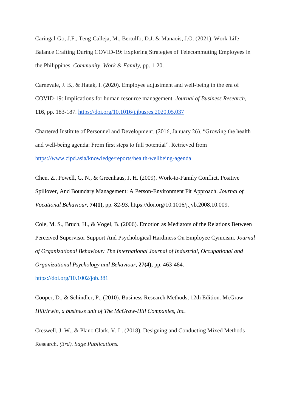Caringal-Go, J.F., Teng-Calleja, M., Bertulfo, D.J. & Manaois, J.O. (2021). Work-Life Balance Crafting During COVID-19: Exploring Strategies of Telecommuting Employees in the Philippines. *Community, Work & Family,* pp. 1-20.

Carnevale, J. B., & Hatak, I. (2020). Employee adjustment and well-being in the era of COVID-19: Implications for human resource management. *Journal of Business Research*, **116**, pp. 183-187. <https://doi.org/10.1016/j.jbusres.2020.05.037>

Chartered Institute of Personnel and Development. (2016, January 26). "Growing the health and well-being agenda: From first steps to full potential". Retrieved fro[m](https://www.cipd.asia/knowledge/reports/health-wellbeing-agenda) <https://www.cipd.asia/knowledge/reports/health-wellbeing-agenda>

Chen, Z., Powell, G. N., & Greenhaus, J. H. (2009). Work-to-Family Conflict, Positive Spillover, And Boundary Management: A Person-Environment Fit Approach. *Journal of Vocational Behaviour*, **74(1),** pp. 82-93. https://doi.org/10.1016/j.jvb.2008.10.009.

Cole, M. S., Bruch, H., & Vogel, B. (2006). Emotion as Mediators of the Relations Between Perceived Supervisor Support And Psychological Hardiness On Employee Cynicism. *Journal of Organizational Behaviour: The International Journal of Industrial, Occupational and Organizational Psychology and Behaviour,* **27(4),** pp. 463-484.

<https://doi.org/10.1002/job.381>

Cooper, D., & Schindler, P., (2010). Business Research Methods, 12th Edition. McGraw*-Hill/Irwin, a business unit of The McGraw-Hill Companies, Inc.*

Creswell, J. W., & Plano Clark, V. L. (2018). Designing and Conducting Mixed Methods Research. *(3rd). Sage Publications.*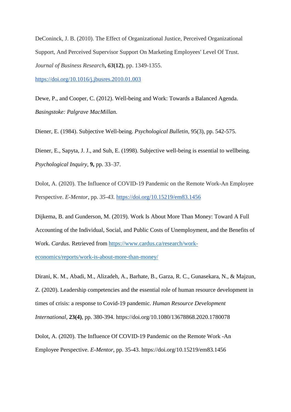DeConinck, J. B. (2010). The Effect of Organizational Justice, Perceived Organizational Support, And Perceived Supervisor Support On Marketing Employees' Level Of Trust. *Journal of Business Research***,** *63***(12)**, pp. 1349-1355[.](https://doi.org/10.1016/j.jbusres.2010.01.003) <https://doi.org/10.1016/j.jbusres.2010.01.003>

Dewe, P., and Cooper, C. (2012). Well-being and Work: Towards a Balanced Agenda. *Basingstoke: Palgrave MacMillan.*

Diener, E. (1984). Subjective Well-being. *Psychological Bulletin*, 95(3), pp. 542-575.

Diener, E., Sapyta, J. J., and Suh, E. (1998). Subjective well-being is essential to wellbeing. *Psychological Inquiry,* **9,** pp. 33–37.

Dolot, A. (2020). The Influence of COVID-19 Pandemic on the Remote Work-An Employee Perspective. *E-Mentor*, pp*. 35-43.* <https://doi.org/10.15219/em83.1456>

Dijkema, B. and Gunderson, M. (2019). Work Is About More Than Money: Toward A Full Accounting of the Individual, Social, and Public Costs of Unemployment, and the Benefits of Work. *Cardus.* Retrieved from [https://www.cardus.ca/research/work](https://www.cardus.ca/research/work-economics/reports/work-is-about-more-than-money/)[economics/reports/work-is-about-more-than-money/](https://www.cardus.ca/research/work-economics/reports/work-is-about-more-than-money/)

Dirani, K. M., Abadi, M., Alizadeh, A., Barhate, B., Garza, R. C., Gunasekara, N., & Majzun, Z. (2020). Leadership competencies and the essential role of human resource development in times of crisis: a response to Covid-19 pandemic. *Human Resource Development International*, **23(4)**, pp. 380-394. https://doi.org/10.1080/13678868.2020.1780078

Dolot, A. (2020). The Influence Of COVID-19 Pandemic on the Remote Work -An Employee Perspective. *E-Mentor*, pp. 35-43. https://doi.org/10.15219/em83.1456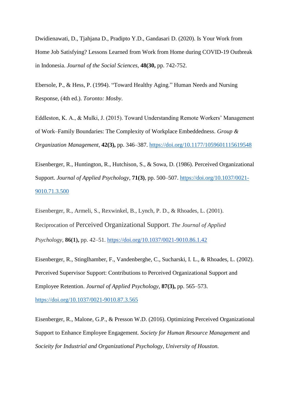Dwidienawati, D., Tjahjana D., Pradipto Y.D., Gandasari D. (2020). Is Your Work from Home Job Satisfying? Lessons Learned from Work from Home during COVID-19 Outbreak in Indonesia. *Journal of the Social Sciences,* **48(30,** pp. 742-752.

Ebersole, P., & Hess, P. (1994). "Toward Healthy Aging." Human Needs and Nursing Response, (4th ed.). *Toronto: Mosby*.

Eddleston, K. A., & Mulki, J. (2015). Toward Understanding Remote Workers' Management of Work–Family Boundaries: The Complexity of Workplace Embeddedness. *Group & Organization Management*, **42(3),** pp. 346–387.<https://doi.org/10.1177/1059601115619548>

Eisenberger, R., Huntington, R., Hutchison, S., & Sowa, D. (1986). Perceived Organizational Support. *Journal of Applied Psychology*, **71(3)**, pp. 500–507. [https://doi.org/10.1037/0021-](https://doi.org/10.1037/0021-9010.71.3.500) [9010.71.3.500](https://doi.org/10.1037/0021-9010.71.3.500)

Eisenberger, R., Armeli, S., Rexwinkel, B., Lynch, P. D., & Rhoades, L. (2001). Reciprocation of Perceived Organizational Support. *The Journal of Applied Psychology*, **86(1),** pp. 42–51.<https://doi.org/10.1037/0021-9010.86.1.42>

Eisenberger, R., Stinglhamber, F., Vandenberghe, C., Sucharski, I. L., & Rhoades, L. (2002). Perceived Supervisor Support: Contributions to Perceived Organizational Support and Employee Retention. *Journal of Applied Psychology*, **87(3),** pp. 565–573.

<https://doi.org/10.1037/0021-9010.87.3.565>

Eisenberger, R., Malone, G.P., & Presson W.D. (2016). Optimizing Perceived Organizational Support to Enhance Employee Engagement. *Society for Human Resource Management* and *Socieity for Industrial and Organizational Psychology, University of Houston.*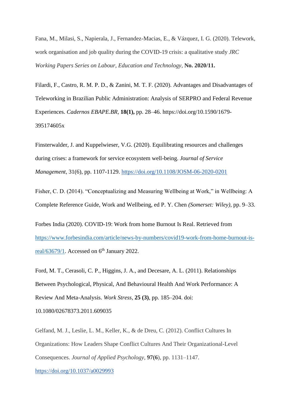Fana, M., Milasi, S., Napierala, J., Fernandez-Macias, E., & Vázquez, I. G. (2020). Telework, work organisation and job quality during the COVID-19 crisis: a qualitative study *JRC Working Papers Series on Labour, Education and Technology,* **No. 2020/11.**

Filardi, F., Castro, R. M. P. D., & Zanini, M. T. F. (2020). Advantages and Disadvantages of Teleworking in Brazilian Public Administration: Analysis of SERPRO and Federal Revenue Experiences. *Cadernos EBAPE.BR*, **18(1),** pp. 28–46. https://doi.org/10.1590/1679- 395174605x

Finsterwalder, J. and Kuppelwieser, V.G. (2020). Equilibrating resources and challenges during crises: a framework for service ecosystem well-being. *Journal of Service Management*, 31(6), pp. 1107-1129[.](https://doi.org/10.1108/JOSM-06-2020-0201) <https://doi.org/10.1108/JOSM-06-2020-0201>

Fisher, C. D. (2014). "Conceptualizing and Measuring Wellbeing at Work," in Wellbeing: A Complete Reference Guide, Work and Wellbeing, ed P. Y. Chen *(Somerset: Wiley),* pp. 9–33.

Forbes India (2020). COVID-19: Work from home Burnout Is Real. Retrieved from [https://www.forbesindia.com/article/news-by-numbers/covid19-work-from-home-burnout-is](https://www.forbesindia.com/article/news-by-numbers/covid19-work-from-home-burnout-is-real/63679/1)[real/63679/1.](https://www.forbesindia.com/article/news-by-numbers/covid19-work-from-home-burnout-is-real/63679/1) Accessed on  $6<sup>th</sup>$  January 2022.

Ford, M. T., Cerasoli, C. P., Higgins, J. A., and Decesare, A. L. (2011). Relationships Between Psychological, Physical, And Behavioural Health And Work Performance: A Review And Meta-Analysis. *Work Stress,* **25 (3)**, pp. 185–204. doi: 10.1080/02678373.2011.609035

Gelfand, M. J., Leslie, L. M., Keller, K., & de Dreu, C. (2012). Conflict Cultures In Organizations: How Leaders Shape Conflict Cultures And Their Organizational-Level Consequences. *Journal of Applied Psychology*, **97(6**), pp. 1131–1147.

<https://doi.org/10.1037/a0029993>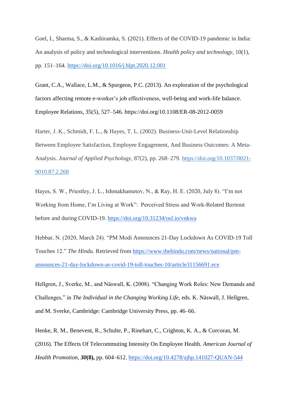Goel, I., Sharma, S., & Kashiramka, S. (2021). Effects of the COVID-19 pandemic in India: An analysis of policy and technological interventions. *Health policy and technology*, 10(1), pp. 151–164.<https://doi.org/10.1016/j.hlpt.2020.12.001>

Grant, C.A., Wallace, L.M., & Spurgeon, P.C. (2013). An exploration of the psychological factors affecting remote e-worker's job effectiveness, well-being and work-life balance. Employee Relations, 35(5), 527–546. https://doi.org/10.1108/ER-08-2012-0059

Harter, J. K., Schmidt, F. L., & Hayes, T. L. (2002). Business-Unit-Level Relationship Between Employee Satisfaction, Employee Engagement, And Business Outcomes: A Meta-Analysis. *Journal of Applied Psychology,* 87(2), pp. 268–279. [https://doi.org/10.1037/0021-](https://psycnet.apa.org/doi/10.1037/0021-9010.87.2.268) [9010.87.2.268](https://psycnet.apa.org/doi/10.1037/0021-9010.87.2.268)

Hayes, S. W., Priestley, J. L., Ishmakhametov, N., & Ray, H. E. (2020, July 8). "I'm not Working from Home, I'm Living at Work": Perceived Stress and Work-Related Burnout before and during COVID-19. <https://doi.org/10.31234/osf.io/vnkwa>

Hebbar, N. (2020, March 24). "PM Modi Announces 21-Day Lockdown As COVID-19 Toll Touches 12." *The Hindu.* Retrieved from [https://www.thehindu.com/news/national/pm](https://www.thehindu.com/news/national/pm-announces-21-day-lockdown-as-covid-19-toll-touches-10/article31156691.ece)[announces-21-day-lockdown-as-covid-19-toll-touches-10/article31156691.ece](https://www.thehindu.com/news/national/pm-announces-21-day-lockdown-as-covid-19-toll-touches-10/article31156691.ece)

Hellgren, J., Sverke, M., and Näswall, K. (2008). "Changing Work Roles: New Demands and Challenges," in *The Individual in the Changing Working Life*, eds. K. Näswall, J. Hellgren, and M. Sverke, Cambridge: Cambridge University Press, pp. 46–66.

Henke, R. M., Benevent, R., Schulte, P., Rinehart, C., Crighton, K. A., & Corcoran, M. (2016). The Effects Of Telecommuting Intensity On Employee Health. *American Journal of Health Promotion, 30***(8),** pp. 604–612. <https://doi.org/10.4278/ajhp.141027-QUAN-544>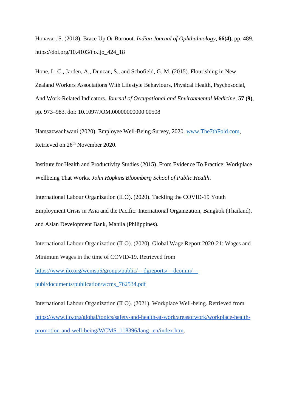Honavar, S. (2018). Brace Up Or Burnout. *Indian Journal of Ophthalmology*, **66(4),** pp. 489. https://doi.org/10.4103/ijo.ijo\_424\_18

Hone, L. C., Jarden, A., Duncan, S., and Schofield, G. M. (2015). Flourishing in New Zealand Workers Associations With Lifestyle Behaviours, Physical Health, Psychosocial, And Work-Related Indicators. *Journal of Occupational and Environmental Medicine,* **57 (9)**, pp. 973–983. doi: 10.1097/JOM.00000000000 00508

Hamsazwadhwani (2020). Employee Well-Being Survey, 2020. [www.The7thFold.com,](http://www.the7thfold.com/) Retrieved on 26<sup>th</sup> November 2020.

Institute for Health and Productivity Studies (2015). From Evidence To Practice: Workplace Wellbeing That Works. *John Hopkins Bloomberg School of Public Health*.

International Labour Organization (ILO). (2020). Tackling the COVID-19 Youth Employment Crisis in Asia and the Pacific: International Organization, Bangkok (Thailand), and Asian Development Bank, Manila (Philippines).

International Labour Organization (ILO). (2020). Global Wage Report 2020-21: Wages and Minimum Wages in the time of COVID-19. Retrieved from [https://www.ilo.org/wcmsp5/groups/public/---dgreports/---dcomm/--](https://www.ilo.org/wcmsp5/groups/public/---dgreports/---dcomm/---publ/documents/publication/wcms_762534.pdf) [publ/documents/publication/wcms\\_762534.pdf](https://www.ilo.org/wcmsp5/groups/public/---dgreports/---dcomm/---publ/documents/publication/wcms_762534.pdf)

International Labour Organization (ILO). (2021). Workplace Well-being. Retrieved fro[m](https://www.ilo.org/global/topics/safety-and-health-at-work/areasofwork/workplace-health-promotion-and-well-being/WCMS_118396/lang--en/index.htm) [https://www.ilo.org/global/topics/safety-and-health-at-work/areasofwork/workplace-health](https://www.ilo.org/global/topics/safety-and-health-at-work/areasofwork/workplace-health-promotion-and-well-being/WCMS_118396/lang--en/index.htm)[promotion-and-well-being/WCMS\\_118396/lang--en/index.htm.](https://www.ilo.org/global/topics/safety-and-health-at-work/areasofwork/workplace-health-promotion-and-well-being/WCMS_118396/lang--en/index.htm)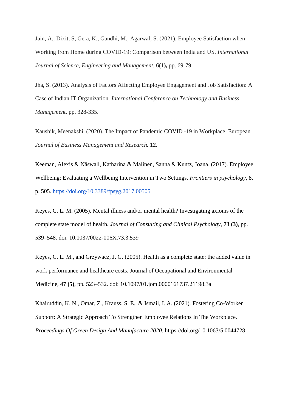Jain, A., Dixit, S, Gera, K., Gandhi, M., Agarwal, S. (2021). Employee Satisfaction when Working from Home during COVID-19: Comparison between India and US. *International Journal of Science, Engineering and Management,* **6(1),** pp. 69-79.

Jha, S. (2013). Analysis of Factors Affecting Employee Engagement and Job Satisfaction: A Case of Indian IT Organization. *International Conference on Technology and Business Management,* pp. 328-335.

Kaushik, Meenakshi. (2020). The Impact of Pandemic COVID -19 in Workplace. European *Journal of Business Management and Research.* **12**.

Keeman, Alexis & Näswall, Katharina & Malinen, Sanna & Kuntz, Joana. (2017). Employee Wellbeing: Evaluating a Wellbeing Intervention in Two Settings*. Frontiers in psychology*, 8, p. 505[.](https://doi.org/10.3389/fpsyg.2017.00505) <https://doi.org/10.3389/fpsyg.2017.00505>

Keyes, C. L. M. (2005). Mental illness and/or mental health? Investigating axioms of the complete state model of health*. Journal of Consulting and Clinical Psychology,* **73 (3)**, pp. 539–548. doi: 10.1037/0022-006X.73.3.539

Keyes, C. L. M., and Grzywacz, J. G. (2005). Health as a complete state: the added value in work performance and healthcare costs. Journal of Occupational and Environmental Medicine, **47 (5)**, pp. 523–532. doi: 10.1097/01.jom.0000161737.21198.3a

Khairuddin, K. N., Omar, Z., Krauss, S. E., & Ismail, I. A. (2021). Fostering Co-Worker Support: A Strategic Approach To Strengthen Employee Relations In The Workplace. *Proceedings Of Green Design And Manufacture 2020*. https://doi.org/10.1063/5.0044728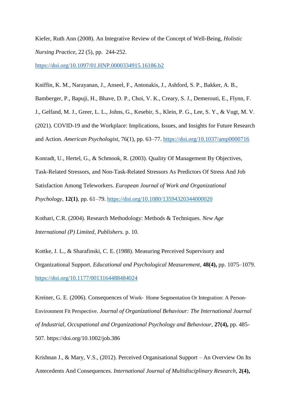Kiefer, Ruth Ann (2008). An Integrative Review of the Concept of Well-Being, *Holistic Nursing Practice*, 22 (5), pp. 244-252.

<https://doi.org/10.1097/01.HNP.0000334915.16186.b2>

Kniffin, K. M., Narayanan, J., Anseel, F., Antonakis, J., Ashford, S. P., Bakker, A. B.,

Bamberger, P., Bapuji, H., Bhave, D. P., Choi, V. K., Creary, S. J., Demerouti, E., Flynn, F.

J., Gelfand, M. J., Greer, L. L., Johns, G., Kesebir, S., Klein, P. G., Lee, S. Y., & Vugt, M. V.

(2021). COVID-19 and the Workplace: Implications, Issues, and Insights for Future Research

and Action. *American Psychologist*, 76(1), pp. 63–77[.](https://doi.org/10.1037/amp0000716) <https://doi.org/10.1037/amp0000716>

Konradt, U., Hertel, G., & Schmook, R. (2003). Quality Of Management By Objectives, Task-Related Stressors, and Non-Task-Related Stressors As Predictors Of Stress And Job Satisfaction Among Teleworkers. *European Journal of Work and Organizational Psychology*, **12(1)**, pp. 61–79.<https://doi.org/10.1080/13594320344000020>

Kothari, C.R. (2004). Research Methodology: Methods & Techniques. *New Age International (P) Limited, Publishers.* p. 10.

Kottke, J. L., & Sharafinski, C. E. (1988). Measuring Perceived Supervisory and Organizational Support. *Educational and Psychological Measurement*, **48(4),** pp. 1075–1079. <https://doi.org/10.1177/0013164488484024>

Kreiner, G. E. (2006). Consequences of Work–Home Segmentation Or Integration: A Person-Environment Fit Perspective. *Journal of Organizational Behaviour: The International Journal of Industrial, Occupational and Organizational Psychology and Behaviour*, **27(4),** pp. 485- 507. https://doi.org/10.1002/job.386

Krishnan J., & Mary, V.S., (2012). Perceived Organisational Support – An Overview On Its Antecedents And Consequences. *International Journal of Multidisciplinary Research*, **2(4),**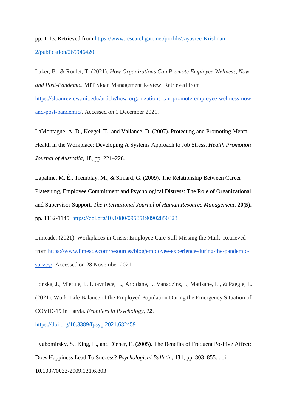pp. 1-13. Retrieved from [https://www.researchgate.net/profile/Jayasree-Krishnan-](https://www.researchgate.net/profile/Jayasree-Krishnan-2/publication/265946420)[2/publication/265946420](https://www.researchgate.net/profile/Jayasree-Krishnan-2/publication/265946420)

Laker, B., & Roulet, T. (2021). *How Organizations Can Promote Employee Wellness, Now and Post-Pandemic*. MIT Sloan Management Review. Retrieved fro[m](https://sloanreview.mit.edu/article/how-organizations-can-promote-employee-wellness-now-and-post-pandemic/) [https://sloanreview.mit.edu/article/how-organizations-can-promote-employee-wellness-now](https://sloanreview.mit.edu/article/how-organizations-can-promote-employee-wellness-now-and-post-pandemic/)[and-post-pandemic/.](https://sloanreview.mit.edu/article/how-organizations-can-promote-employee-wellness-now-and-post-pandemic/) Accessed on 1 December 2021.

LaMontagne, A. D., Keegel, T., and Vallance, D. (2007). Protecting and Promoting Mental Health in the Workplace: Developing A Systems Approach to Job Stress. *Health Promotion Journal of Australia*, **18**, pp. 221–228.

Lapalme, M. È., Tremblay, M., & Simard, G. (2009). The Relationship Between Career Plateauing, Employee Commitment and Psychological Distress: The Role of Organizational and Supervisor Support. *The International Journal of Human Resource Management*, **20(5),** pp. 1132-1145.<https://doi.org/10.1080/09585190902850323>

Limeade. (2021). Workplaces in Crisis: Employee Care Still Missing the Mark. Retrieved from [https://www.limeade.com/resources/blog/employee-experience-during-the-pandemic](https://www.limeade.com/resources/blog/employee-experience-during-the-pandemic-survey/)[survey/.](https://www.limeade.com/resources/blog/employee-experience-during-the-pandemic-survey/) Accessed on 28 November 2021.

Lonska, J., Mietule, I., Litavniece, L., Arbidane, I., Vanadzins, I., Matisane, L., & Paegle, L. (2021). Work–Life Balance of the Employed Population During the Emergency Situation of COVID-19 in Latvia. *Frontiers in Psychology*, *12*[.](https://doi.org/10.3389/fpsyg.2021.682459)

<https://doi.org/10.3389/fpsyg.2021.682459>

Lyubomirsky, S., King, L., and Diener, E. (2005). The Benefits of Frequent Positive Affect: Does Happiness Lead To Success? *Psychological Bulletin*, **131**, pp. 803–855. doi: 10.1037/0033-2909.131.6.803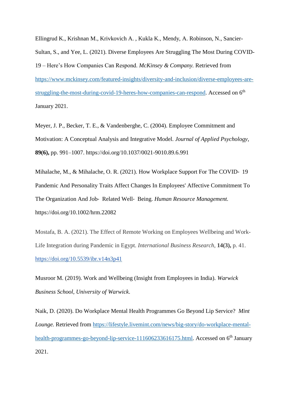Ellingrud K., Krishnan M., Krivkovich A. , Kukla K., Mendy, A. Robinson, N., Sancier-Sultan, S., and Yee, L. (2021). Diverse Employees Are Struggling The Most During COVID-19 – Here's How Companies Can Respond. *McKinsey & Company.* Retrieved from [https://www.mckinsey.com/featured-insights/diversity-and-inclusion/diverse-employees-are](https://www.mckinsey.com/featured-insights/diversity-and-inclusion/diverse-employees-are-struggling-the-most-during-covid-19-heres-how-companies-can-respond)[struggling-the-most-during-covid-19-heres-how-companies-can-respond.](https://www.mckinsey.com/featured-insights/diversity-and-inclusion/diverse-employees-are-struggling-the-most-during-covid-19-heres-how-companies-can-respond) Accessed on 6<sup>th</sup> January 2021.

Meyer, J. P., Becker, T. E., & Vandenberghe, C. (2004). Employee Commitment and Motivation: A Conceptual Analysis and Integrative Model. *Journal of Applied Psychology*, **89(6),** pp. 991–1007. https://doi.org/10.1037/0021-9010.89.6.991

Mihalache, M., & Mihalache, O. R. (2021). How Workplace Support For The COVID‐ 19 Pandemic And Personality Traits Affect Changes In Employees' Affective Commitment To The Organization And Job‐ Related Well‐ Being. *Human Resource Management.*  https://doi.org/10.1002/hrm.22082

Mostafa, B. A. (2021). The Effect of Remote Working on Employees Wellbeing and Work-Life Integration during Pandemic in Egypt. *International Business Research*, **14(3),** p. 41. <https://doi.org/10.5539/ibr.v14n3p41>

Musroor M. (2019). Work and Wellbeing (Insight from Employees in India). *Warwick Business School, University of Warwick*.

Naik, D. (2020). Do Workplace Mental Health Programmes Go Beyond Lip Service? *Mint Lounge.* Retrieved from [https://lifestyle.livemint.com/news/big-story/do-workplace-mental](https://lifestyle.livemint.com/news/big-story/do-workplace-mental-health-programmes-go-beyond-lip-service-111606233616175.html)[health-programmes-go-beyond-lip-service-111606233616175.html.](https://lifestyle.livemint.com/news/big-story/do-workplace-mental-health-programmes-go-beyond-lip-service-111606233616175.html) Accessed on 6<sup>th</sup> January 2021.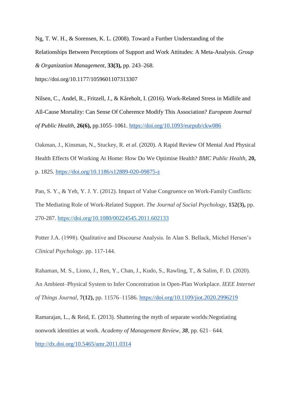Ng, T. W. H., & Sorensen, K. L. (2008). Toward a Further Understanding of the Relationships Between Perceptions of Support and Work Attitudes: A Meta-Analysis. *Group & Organization Management*, **33(3),** pp. 243–268. https://doi.org/10.1177/1059601107313307

Nilsen, C., Andel, R., Fritzell, J., & Kåreholt, I. (2016). Work-Related Stress in Midlife and All-Cause Mortality: Can Sense Of Coherence Modify This Association? *European Journal of Public Health*, **26(6),** pp.1055–1061. <https://doi.org/10.1093/eurpub/ckw086>

Oakman, J., Kinsman, N., Stuckey, R. *et al.* (2020). A Rapid Review Of Mental And Physical Health Effects Of Working At Home: How Do We Optimise Health? *BMC Public Health,* **20,**  p. 1825. <https://doi.org/10.1186/s12889-020-09875-z>

Pan, S. Y., & Yeh, Y. J. Y. (2012). Impact of Value Congruence on Work-Family Conflicts: The Mediating Role of Work-Related Support. *The Journal of Social Psychology*, **152(3),** pp. 270-287.<https://doi.org/10.1080/00224545.2011.602133>

Potter J.A. (1998). Qualitative and Discourse Analysis. In Alan S. Bellack, Michel Hersen's *Clinical Psychology*. pp. 117-144.

Rahaman, M. S., Liono, J., Ren, Y., Chan, J., Kudo, S., Rawling, T., & Salim, F. D. (2020). An Ambient–Physical System to Infer Concentration in Open-Plan Workplace. *IEEE Internet of Things Journal*, **7(12),** pp. 11576–11586.<https://doi.org/10.1109/jiot.2020.2996219>

Ramarajan, L., & Reid, E. (2013). Shattering the myth of separate worlds:Negotiating nonwork identities at work. *Academy of Management Review, 38,* pp. 621– 644[.](http://dx.doi.org/10.5465/amr.2011.0314) <http://dx.doi.org/10.5465/amr.2011.0314>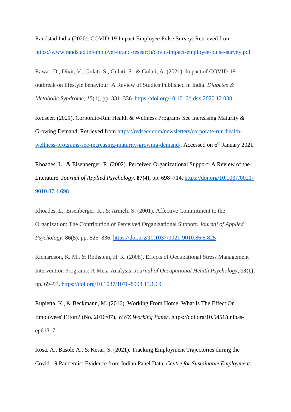Randstad India (2020). COVID-19 Impact Employee Pulse Survey. Retrieved fro[m](https://www.randstad.in/employer-brand-research/covid-impact-employee-pulse-survey.pdf) <https://www.randstad.in/employer-brand-research/covid-impact-employee-pulse-survey.pdf>

Rawat, D., Dixit, V., Gulati, S., Gulati, S., & Gulati, A. (2021). Impact of COVID-19 outbreak on lifestyle behaviour: A Review of Studies Published in India. *Diabetes & Metabolic Syndrome*, *15*(1), pp. 331–336.<https://doi.org/10.1016/j.dsx.2020.12.038>

Redseer. (2021). Corporate-Run Health & Wellness Programs See Increasing Maturity & Growing Demand. Retrieved from [https://redseer.com/newsletters/corporate-run-health](https://redseer.com/newsletters/corporate-run-health-wellness-programs-see-increasing-maturity-growing-demand/)[wellness-programs-see-increasing-maturity-growing-demand/.](https://redseer.com/newsletters/corporate-run-health-wellness-programs-see-increasing-maturity-growing-demand/) Accessed on 6<sup>th</sup> January 2021.

Rhoades, L., & Eisenberger, R. (2002). Perceived Organizational Support: A Review of the Literature. *Journal of Applied Psychology*, **87(4),** pp. 698–714. [https://doi.org/10.1037/0021-](https://doi.org/10.1037/0021-9010.87.4.698) [9010.87.4.698](https://doi.org/10.1037/0021-9010.87.4.698)

Rhoades, L., Eisenberger, R., & Armeli, S. (2001). Affective Commitment to the Organization: The Contribution of Perceived Organizational Support. *Journal of Applied Psychology,* **86(5),** pp. 825–836.<https://doi.org/10.1037/0021-9010.86.5.825>

Richardson, K. M., & Rothstein, H. R. (2008). Effects of Occupational Stress Management Intervention Programs: A Meta-Analysis. *Journal of Occupational Health Psychology*, **13(1),** pp. 69–93.<https://doi.org/10.1037/1076-8998.13.1.69>

Rupietta, K., & Beckmann, M. (2016). Working From Home: What Is The Effect On Employees' Effort? (No. 2016/07). *WWZ Working Paper*. https://doi.org/10.5451/unibasep61317

Rosa, A., Basole A., & Kesar, S. (2021). Tracking Employment Trajectories during the Covid-19 Pandemic: Evidence from Indian Panel Data. *Centre for Sustainable Employment.*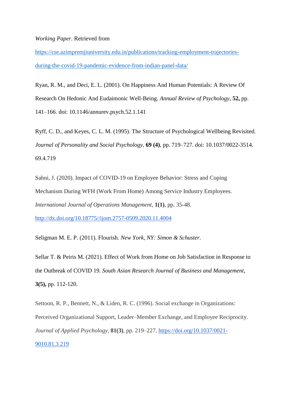#### *Working Paper*. Retrieved from

[https://cse.azimpremjiuniversity.edu.in/publications/tracking-employment-trajectories](https://cse.azimpremjiuniversity.edu.in/publications/tracking-employment-trajectories-during-the-covid-19-pandemic-evidence-from-indian-panel-data/)[during-the-covid-19-pandemic-evidence-from-indian-panel-data/](https://cse.azimpremjiuniversity.edu.in/publications/tracking-employment-trajectories-during-the-covid-19-pandemic-evidence-from-indian-panel-data/)

Ryan, R. M., and Deci, E. L. (2001). On Happiness And Human Potentials: A Review Of Research On Hedonic And Eudaimonic Well-Being. *Annual Review of Psychology*, **52,** pp. 141–166. doi: 10.1146/annurev.psych.52.1.141

Ryff, C. D., and Keyes, C. L. M. (1995). The Structure of Psychological Wellbeing Revisited. *Journal of Personality and Social Psychology,* **69 (4)**, pp. 719–727. doi: 10.1037/0022-3514. 69.4.719

Sahni, J. (2020). Impact of COVID-19 on Employee Behavior: Stress and Coping Mechanism During WFH (Work From Home) Among Service Industry Employees. *International Journal of Operations Management*, **1(1)**, pp. 35-48[.](http://dx.doi.org/10.18775/ijom.2757-0509.2020.11.4004) [http://dx.doi.org/10.18775//ijom.2757-0509.2020.11.4004](http://dx.doi.org/10.18775/ijom.2757-0509.2020.11.4004)

Seligman M. E. P. (2011). Flourish*. New York, NY: Simon & Schuster*.

Sellar T. & Peiris M. (2021). Effect of Work from Home on Job Satisfaction in Response to the Outbreak of COVID 19. *South Asian Research Journal of Business and Management,*  **3(5),** pp. 112-120.

Settoon, R. P., Bennett, N., & Liden, R. C. (1996). Social exchange in Organizations: Perceived Organizational Support, Leader–Member Exchange, and Employee Reciprocity. *Journal of Applied Psychology,* **81(3)**, pp. 219–227. [https://doi.org/10.1037/0021-](https://doi.org/10.1037/0021-9010.81.3.219) [9010.81.3.219](https://doi.org/10.1037/0021-9010.81.3.219)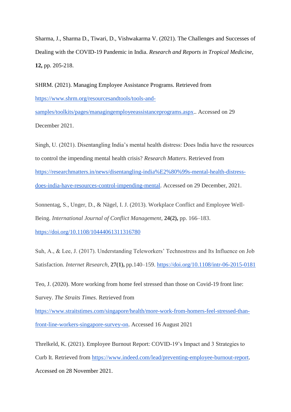Sharma, J., Sharma D., Tiwari, D., Vishwakarma V. (2021). The Challenges and Successes of Dealing with the COVID-19 Pandemic in India. *Research and Reports in Tropical Medicine,*  **12,** pp. 205-218.

SHRM. (2021). Managing Employee Assistance Programs. Retrieved from [https://www.shrm.org/resourcesandtools/tools-and-](https://www.shrm.org/resourcesandtools/tools-and-samples/toolkits/pages/managingemployeeassistanceprograms.aspx)

[samples/toolkits/pages/managingemployeeassistanceprograms.aspx.](https://www.shrm.org/resourcesandtools/tools-and-samples/toolkits/pages/managingemployeeassistanceprograms.aspx). Accessed on 29 December 2021.

Singh, U. (2021). Disentangling India's mental health distress: Does India have the resources to control the impending mental health crisis? *Research Matters*. Retrieved fro[m](https://researchmatters.in/news/disentangling-india%E2%80%99s-mental-health-distress-does-india-have-resources-control-impending-mental) [https://researchmatters.in/news/disentangling-india%E2%80%99s-mental-health-distress](https://researchmatters.in/news/disentangling-india%E2%80%99s-mental-health-distress-does-india-have-resources-control-impending-mental)[does-india-have-resources-control-impending-mental.](https://researchmatters.in/news/disentangling-india%E2%80%99s-mental-health-distress-does-india-have-resources-control-impending-mental) Accessed on 29 December, 2021.

Sonnentag, S., Unger, D., & Nägel, I. J. (2013). Workplace Conflict and Employee Well‐ Being. *International Journal of Conflict Management*, **24(2),** pp. 166–183.

<https://doi.org/10.1108/10444061311316780>

Suh, A., & Lee, J. (2017). Understanding Teleworkers' Technostress and Its Influence on Job Satisfaction*. Internet Research*, **27(1),** pp.140–159.<https://doi.org/10.1108/intr-06-2015-0181>

Teo, J. (2020). More working from home feel stressed than those on Covid-19 front line: Survey. *The Straits Times*. Retrieved fro[m](https://www.straitstimes.com/singapore/health/more-work-from-homers-feel-stressed-than-front-line-workers-singapore-survey-on)

[https://www.straitstimes.com/singapore/health/more-work-from-homers-feel-stressed-than](https://www.straitstimes.com/singapore/health/more-work-from-homers-feel-stressed-than-front-line-workers-singapore-survey-on)[front-line-workers-singapore-survey-on.](https://www.straitstimes.com/singapore/health/more-work-from-homers-feel-stressed-than-front-line-workers-singapore-survey-on) Accessed 16 August 2021

Threlkeld, K. (2021). Employee Burnout Report: COVID-19's Impact and 3 Strategies to Curb It. Retrieved from [https://www.indeed.com/lead/preventing-employee-burnout-report.](https://www.indeed.com/lead/preventing-employee-burnout-report) Accessed on 28 November 2021.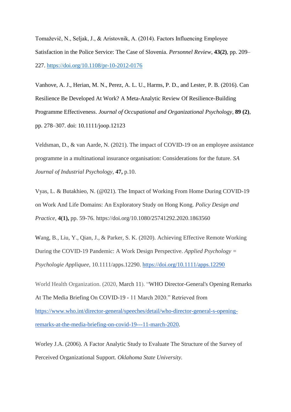Tomaževič, N., Seljak, J., & Aristovnik, A. (2014). Factors Influencing Employee Satisfaction in the Police Service: The Case of Slovenia. *Personnel Review*, **43(2)**, pp. 209– 227.<https://doi.org/10.1108/pr-10-2012-0176>

Vanhove, A. J., Herian, M. N., Perez, A. L. U., Harms, P. D., and Lester, P. B. (2016). Can Resilience Be Developed At Work? A Meta-Analytic Review Of Resilience-Building Programme Effectiveness. *Journal of Occupational and Organizational Psychology,* **89 (2)**, pp. 278–307. doi: 10.1111/joop.12123

Veldsman, D., & van Aarde, N. (2021). The impact of COVID-19 on an employee assistance programme in a multinational insurance organisation: Considerations for the future. *SA Journal of Industrial Psychology*, **47,** p.10.

Vyas, L. & Butakhieo, N. (@021). The Impact of Working From Home During COVID-19 on Work And Life Domains: An Exploratory Study on Hong Kong. *Policy Design and Practice,* **4(1),** pp. 59-76. https://doi.org/10.1080/25741292.2020.1863560

Wang, B., Liu, Y., Qian, J., & Parker, S. K. (2020). Achieving Effective Remote Working During the COVID-19 Pandemic: A Work Design Perspective. *Applied Psychology = Psychologie Appliquee*, 10.1111/apps.12290.<https://doi.org/10.1111/apps.12290>

World Health Organization. (2020, March 11). "WHO Director-General's Opening Remarks At The Media Briefing On COVID-19 - 11 March 2020." Retrieved fro[m](https://www.who.int/director-general/speeches/detail/who-director-general-s-opening-remarks-at-the-media-briefing-on-covid-19---11-march-2020) [https://www.who.int/director-general/speeches/detail/who-director-general-s-opening](https://www.who.int/director-general/speeches/detail/who-director-general-s-opening-remarks-at-the-media-briefing-on-covid-19---11-march-2020)[remarks-at-the-media-briefing-on-covid-19---11-march-2020.](https://www.who.int/director-general/speeches/detail/who-director-general-s-opening-remarks-at-the-media-briefing-on-covid-19---11-march-2020)

Worley J.A. (2006). A Factor Analytic Study to Evaluate The Structure of the Survey of Perceived Organizational Support. *Oklahoma State University.*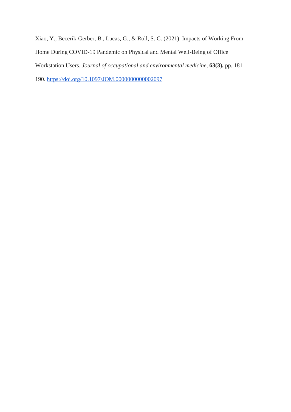Xiao, Y., Becerik-Gerber, B., Lucas, G., & Roll, S. C. (2021). Impacts of Working From Home During COVID-19 Pandemic on Physical and Mental Well-Being of Office Workstation Users. *Journal of occupational and environmental medicine,* **63(3),** pp. 181– 190*.* <https://doi.org/10.1097/JOM.0000000000002097>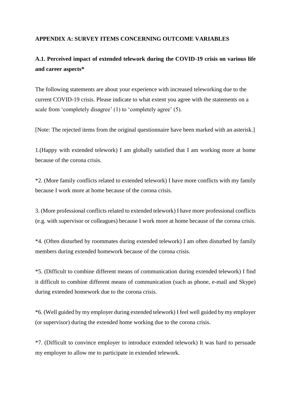## **APPENDIX A: SURVEY ITEMS CONCERNING OUTCOME VARIABLES**

# **A.1. Perceived impact of extended telework during the COVID-19 crisis on various life and career aspects\***

The following statements are about your experience with increased teleworking due to the current COVID-19 crisis. Please indicate to what extent you agree with the statements on a scale from 'completely disagree' (1) to 'completely agree' (5).

[Note: The rejected items from the original questionnaire have been marked with an asterisk.]

1.(Happy with extended telework) I am globally satisfied that I am working more at home because of the corona crisis.

\*2. (More family conflicts related to extended telework) I have more conflicts with my family because I work more at home because of the corona crisis.

3. (More professional conflicts related to extended telework) I have more professional conflicts (e.g. with supervisor or colleagues) because I work more at home because of the corona crisis.

\*4. (Often disturbed by roommates during extended telework) I am often disturbed by family members during extended homework because of the corona crisis.

\*5. (Difficult to combine different means of communication during extended telework) I find it difficult to combine different means of communication (such as phone, e-mail and Skype) during extended homework due to the corona crisis.

\*6. (Well guided by my employer during extended telework) I feel well guided by my employer (or supervisor) during the extended home working due to the corona crisis.

\*7. (Difficult to convince employer to introduce extended telework) It was hard to persuade my employer to allow me to participate in extended telework.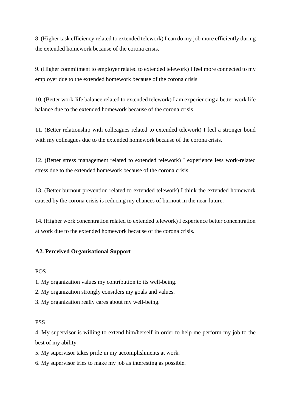8. (Higher task efficiency related to extended telework) I can do my job more efficiently during the extended homework because of the corona crisis.

9. (Higher commitment to employer related to extended telework) I feel more connected to my employer due to the extended homework because of the corona crisis.

10. (Better work-life balance related to extended telework) I am experiencing a better work life balance due to the extended homework because of the corona crisis.

11. (Better relationship with colleagues related to extended telework) I feel a stronger bond with my colleagues due to the extended homework because of the corona crisis.

12. (Better stress management related to extended telework) I experience less work-related stress due to the extended homework because of the corona crisis.

13. (Better burnout prevention related to extended telework) I think the extended homework caused by the corona crisis is reducing my chances of burnout in the near future.

14. (Higher work concentration related to extended telework) I experience better concentration at work due to the extended homework because of the corona crisis.

#### **A2. Perceived Organisational Support**

### POS

1. My organization values my contribution to its well-being.

2. My organization strongly considers my goals and values.

3. My organization really cares about my well-being.

## PSS

4. My supervisor is willing to extend him/herself in order to help me perform my job to the best of my ability.

5. My supervisor takes pride in my accomplishments at work.

6. My supervisor tries to make my job as interesting as possible.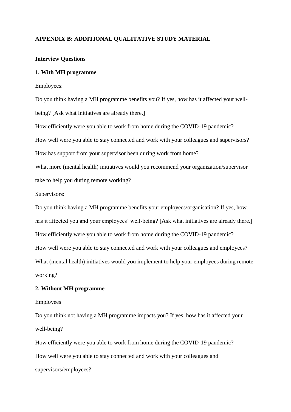#### **APPENDIX B: ADDITIONAL QUALITATIVE STUDY MATERIAL**

#### **Interview Questions**

## **1. With MH programme**

Employees:

Do you think having a MH programme benefits you? If yes, how has it affected your wellbeing? [Ask what initiatives are already there.]

How efficiently were you able to work from home during the COVID-19 pandemic? How well were you able to stay connected and work with your colleagues and supervisors? How has support from your supervisor been during work from home?

What more (mental health) initiatives would you recommend your organization/supervisor take to help you during remote working?

Supervisors:

Do you think having a MH programme benefits your employees/organisation? If yes, how has it affected you and your employees' well-being? [Ask what initiatives are already there.] How efficiently were you able to work from home during the COVID-19 pandemic? How well were you able to stay connected and work with your colleagues and employees? What (mental health) initiatives would you implement to help your employees during remote working?

## **2. Without MH programme**

#### Employees

Do you think not having a MH programme impacts you? If yes, how has it affected your well-being?

How efficiently were you able to work from home during the COVID-19 pandemic? How well were you able to stay connected and work with your colleagues and supervisors/employees?